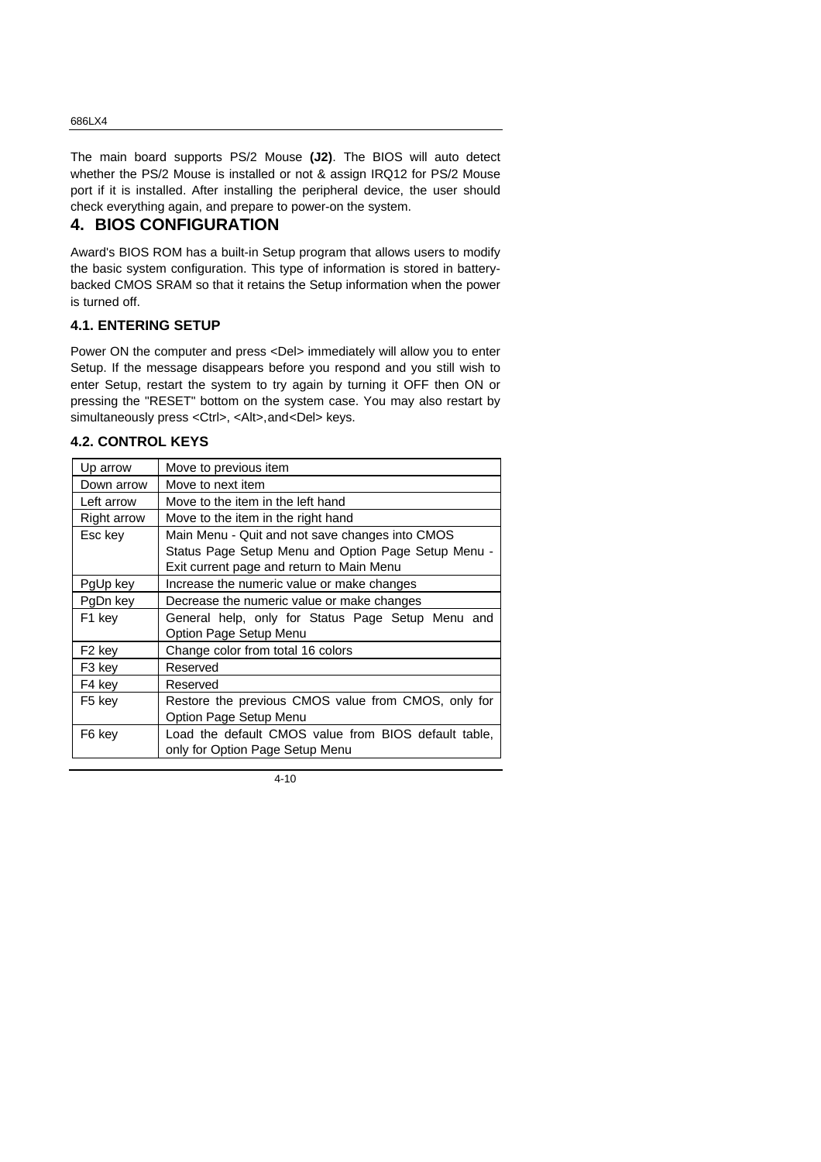The main board supports PS/2 Mouse **(J2)**. The BIOS will auto detect whether the PS/2 Mouse is installed or not & assign IRQ12 for PS/2 Mouse port if it is installed. After installing the peripheral device, the user should check everything again, and prepare to power-on the system.

# **4. BIOS CONFIGURATION**

Award's BIOS ROM has a built-in Setup program that allows users to modify the basic system configuration. This type of information is stored in batterybacked CMOS SRAM so that it retains the Setup information when the power is turned off.

#### **4.1. ENTERING SETUP**

Power ON the computer and press <Del> immediately will allow you to enter Setup. If the message disappears before you respond and you still wish to enter Setup, restart the system to try again by turning it OFF then ON or pressing the "RESET" bottom on the system case. You may also restart by simultaneously press <Ctrl>, <Alt>, and<Del> keys.

#### **4.2. CONTROL KEYS**

| Up arrow           | Move to previous item                                |  |
|--------------------|------------------------------------------------------|--|
| Down arrow         | Move to next item                                    |  |
| Left arrow         | Move to the item in the left hand                    |  |
| <b>Right arrow</b> | Move to the item in the right hand                   |  |
| Esc key            | Main Menu - Quit and not save changes into CMOS      |  |
|                    | Status Page Setup Menu and Option Page Setup Menu -  |  |
|                    | Exit current page and return to Main Menu            |  |
| PgUp key           | Increase the numeric value or make changes           |  |
| PgDn key           | Decrease the numeric value or make changes           |  |
| F1 key             | General help, only for Status Page Setup Menu and    |  |
|                    | Option Page Setup Menu                               |  |
| F <sub>2</sub> key | Change color from total 16 colors                    |  |
| F3 key             | Reserved                                             |  |
| F4 key             | Reserved                                             |  |
| F <sub>5</sub> key | Restore the previous CMOS value from CMOS, only for  |  |
|                    | Option Page Setup Menu                               |  |
| F6 kev             | Load the default CMOS value from BIOS default table, |  |
|                    | only for Option Page Setup Menu                      |  |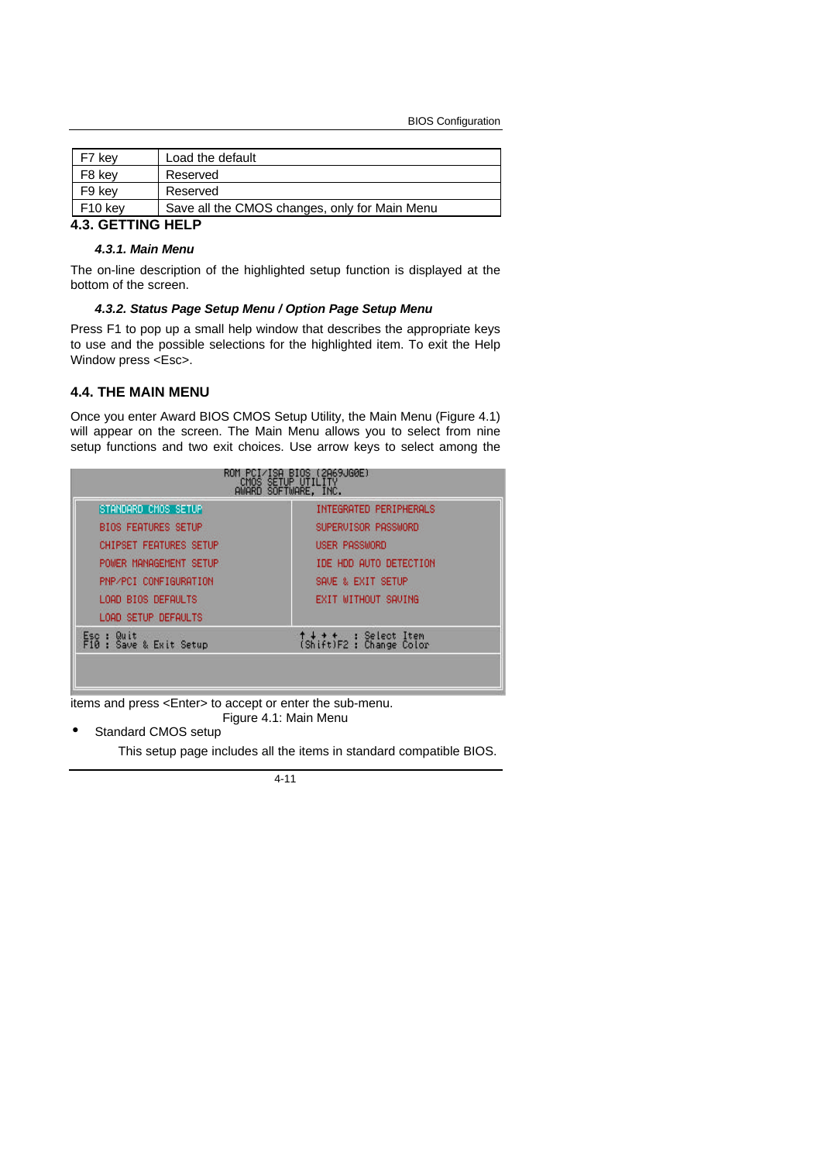BIOS Configuration

| F7 key              | Load the default                              |
|---------------------|-----------------------------------------------|
| F8 key              | Reserved                                      |
| F9 kev              | Reserved                                      |
| F <sub>10</sub> key | Save all the CMOS changes, only for Main Menu |
|                     |                                               |

# **4.3. GETTING HELP**

#### *4.3.1. Main Menu*

The on-line description of the highlighted setup function is displayed at the bottom of the screen.

#### *4.3.2. Status Page Setup Menu / Option Page Setup Menu*

Press F1 to pop up a small help window that describes the appropriate keys to use and the possible selections for the highlighted item. To exit the Help Window press <Esc>.

#### **4.4. THE MAIN MENU**

Once you enter Award BIOS CMOS Setup Utility, the Main Menu (Figure 4.1) will appear on the screen. The Main Menu allows you to select from nine setup functions and two exit choices. Use arrow keys to select among the

| STANDARD CMOS SETUP                   | INTEGRATED PERIPHERALS             |
|---------------------------------------|------------------------------------|
| <b>BIOS FEATURES SETUP</b>            | SUPERUISOR PASSWORD                |
| <b>CHIPSET FEATURES SETUP</b>         | <b>USER PASSWORD</b>               |
| POWER MANAGEMENT SETUP                | IDE HDD AUTO DETECTION             |
| PNP/PCI CONFIGURATION                 | SAVE & EXIT SETUP                  |
| LOAD BIOS DEFAULTS                    | EXIT WITHOUT SAVING                |
| LOAD SETUP DEFAULTS                   |                                    |
| Esc : Quit<br>F10 : Save & Exit Setup | ↑↓ + +<br>(Shift)F2 : Change Color |

items and press <Enter> to accept or enter the sub-menu. Figure 4.1: Main Menu

Standard CMOS setup

This setup page includes all the items in standard compatible BIOS.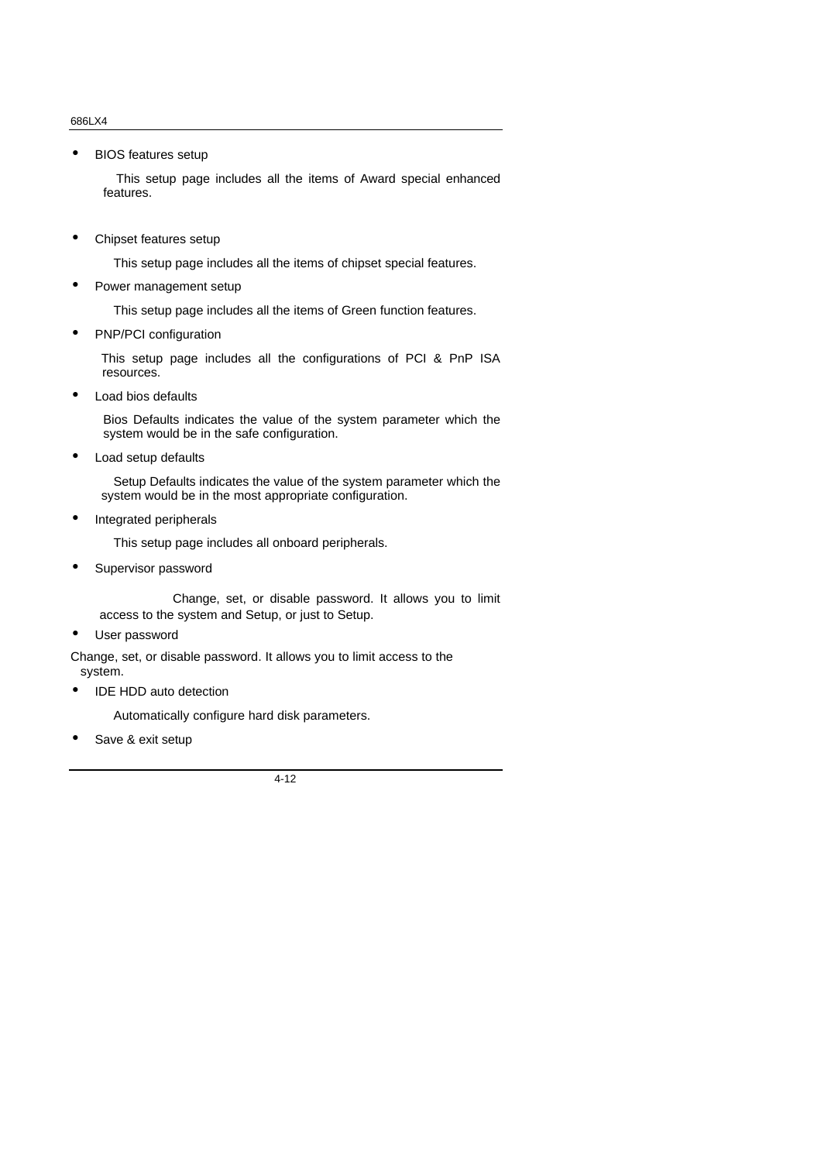• BIOS features setup

 This setup page includes all the items of Award special enhanced features.

• Chipset features setup

This setup page includes all the items of chipset special features.

• Power management setup

This setup page includes all the items of Green function features.

• PNP/PCI configuration

This setup page includes all the configurations of PCI & PnP ISA resources.

• Load bios defaults

Bios Defaults indicates the value of the system parameter which the system would be in the safe configuration.

• Load setup defaults

 Setup Defaults indicates the value of the system parameter which the system would be in the most appropriate configuration.

• Integrated peripherals

This setup page includes all onboard peripherals.

• Supervisor password

 Change, set, or disable password. It allows you to limit access to the system and Setup, or just to Setup.

User password

Change, set, or disable password. It allows you to limit access to the system.

IDE HDD auto detection

Automatically configure hard disk parameters.

Save & exit setup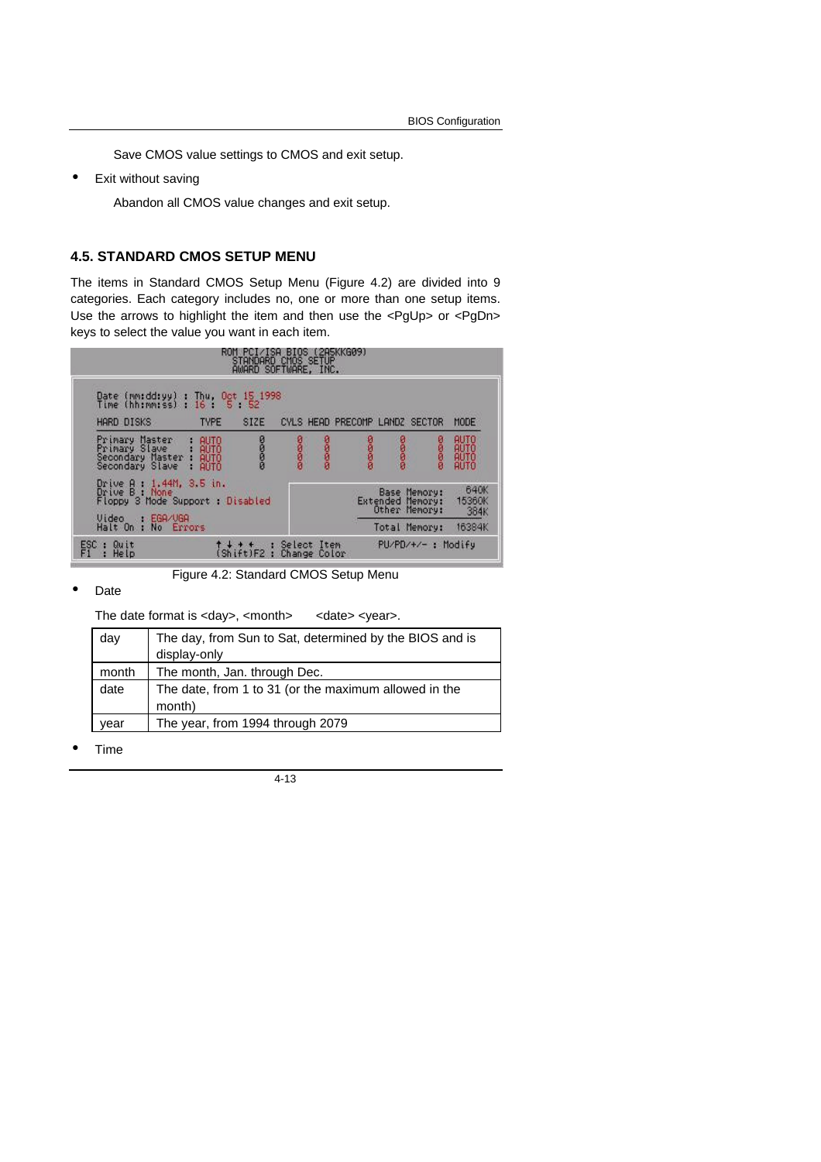Save CMOS value settings to CMOS and exit setup.

• Exit without saving

Abandon all CMOS value changes and exit setup.

#### **4.5. STANDARD CMOS SETUP MENU**

The items in Standard CMOS Setup Menu (Figure 4.2) are divided into 9 categories. Each category includes no, one or more than one setup items. Use the arrows to highlight the item and then use the <PgUp> or <PgDn> keys to select the value you want in each item.



Figure 4.2: Standard CMOS Setup Menu

• Date

The date format is <day>, <month> <date> <year>.

| day   | The day, from Sun to Sat, determined by the BIOS and is<br>display-only |
|-------|-------------------------------------------------------------------------|
| month | The month, Jan. through Dec.                                            |
| date  | The date, from 1 to 31 (or the maximum allowed in the<br>month)         |
| year  | The year, from 1994 through 2079                                        |

• Time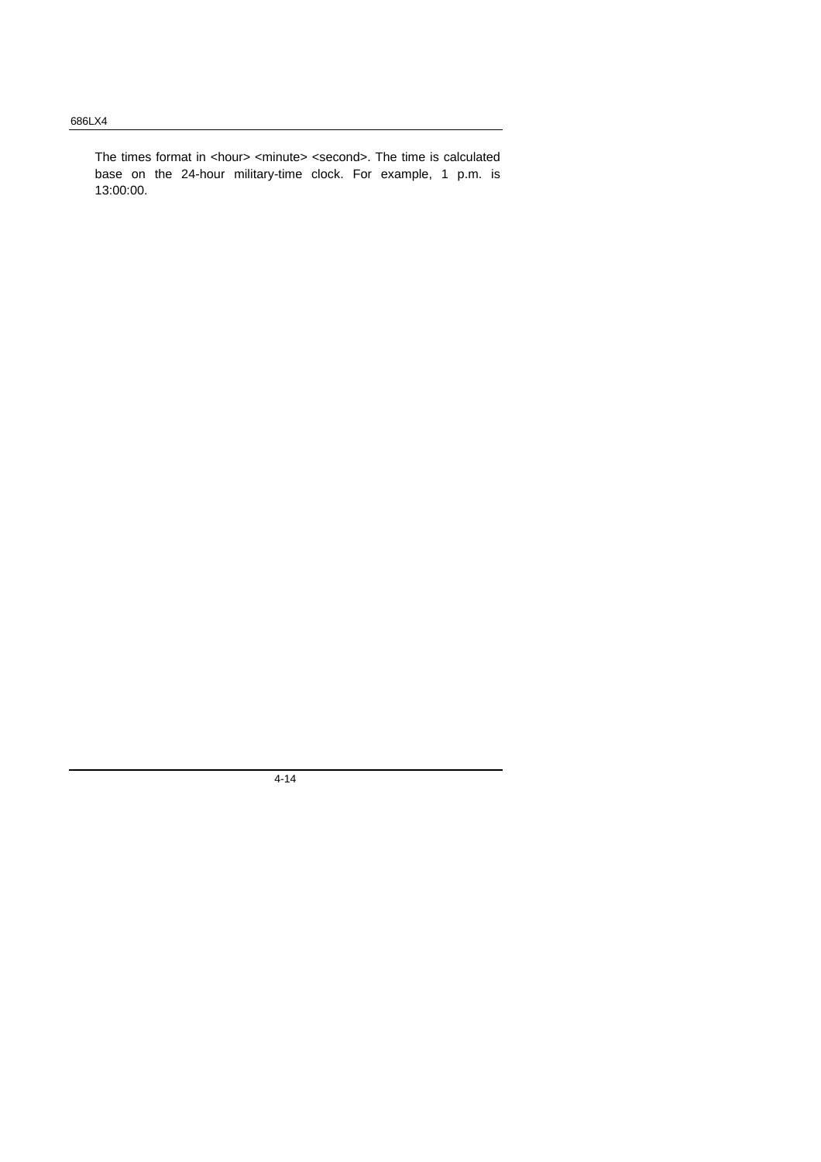The times format in <hour> <minute> <second>. The time is calculated base on the 24-hour military-time clock. For example, 1 p.m. is 13:00:00.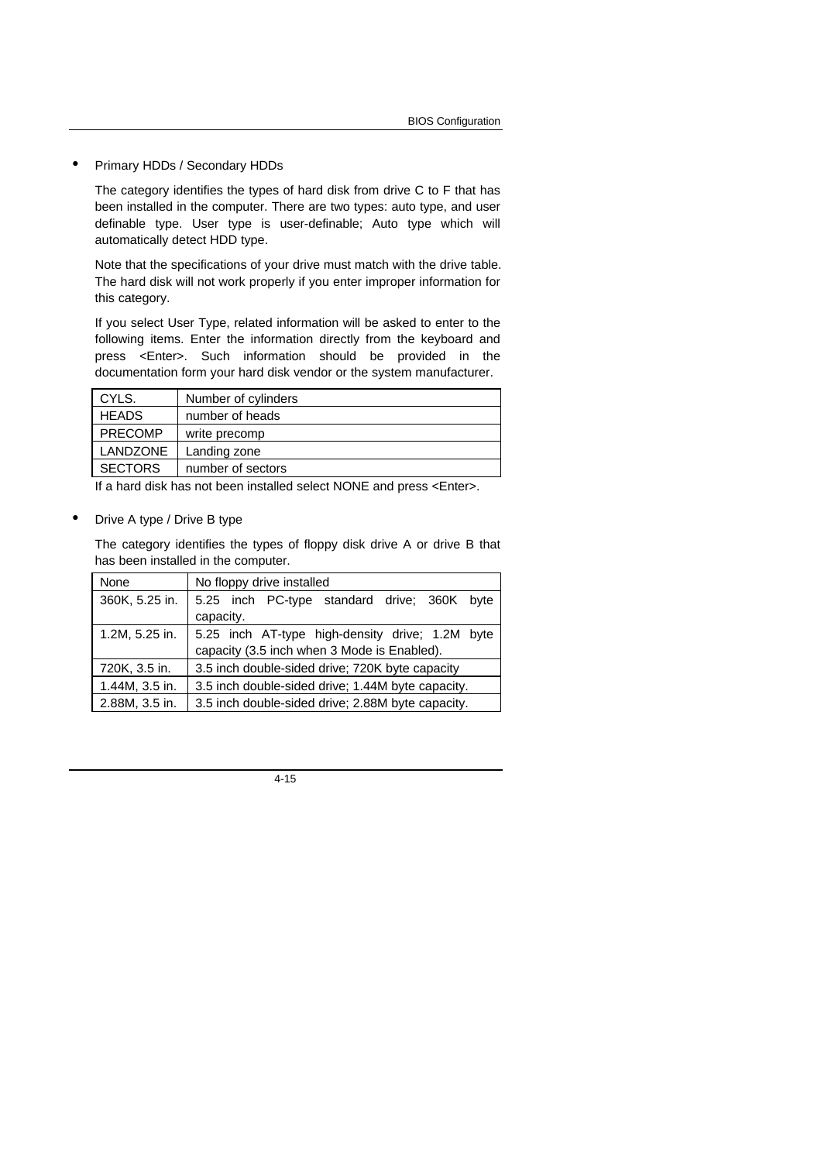• Primary HDDs / Secondary HDDs

The category identifies the types of hard disk from drive C to F that has been installed in the computer. There are two types: auto type, and user definable type. User type is user-definable; Auto type which will automatically detect HDD type.

Note that the specifications of your drive must match with the drive table. The hard disk will not work properly if you enter improper information for this category.

If you select User Type, related information will be asked to enter to the following items. Enter the information directly from the keyboard and press <Enter>. Such information should be provided in the documentation form your hard disk vendor or the system manufacturer.

| CYLS.           | Number of cylinders |
|-----------------|---------------------|
| <b>HEADS</b>    | number of heads     |
| <b>PRECOMP</b>  | write precomp       |
| <b>LANDZONE</b> | Landing zone        |
| <b>SECTORS</b>  | number of sectors   |

If a hard disk has not been installed select NONE and press <Enter>.

• Drive A type / Drive B type

The category identifies the types of floppy disk drive A or drive B that has been installed in the computer.

| None           | No floppy drive installed                         |
|----------------|---------------------------------------------------|
| 360K, 5.25 in. | 5.25 inch PC-type standard drive; 360K byte       |
|                | capacity.                                         |
| 1.2M, 5.25 in. | 5.25 inch AT-type high-density drive; 1.2M byte   |
|                | capacity (3.5 inch when 3 Mode is Enabled).       |
| 720K, 3.5 in.  | 3.5 inch double-sided drive; 720K byte capacity   |
| 1.44M, 3.5 in. | 3.5 inch double-sided drive; 1.44M byte capacity. |
| 2.88M, 3.5 in. | 3.5 inch double-sided drive; 2.88M byte capacity. |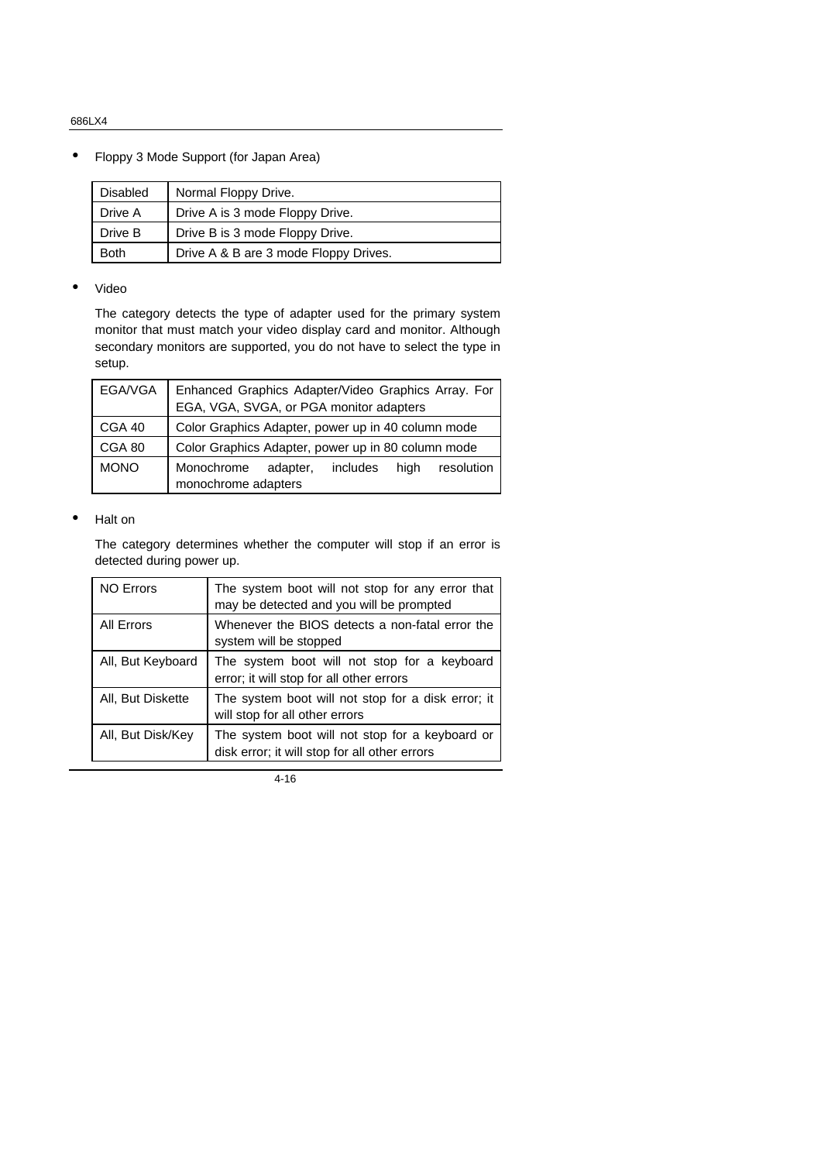• Floppy 3 Mode Support (for Japan Area)

| <b>Disabled</b> | Normal Floppy Drive.                  |
|-----------------|---------------------------------------|
| Drive A         | Drive A is 3 mode Floppy Drive.       |
| Drive B         | Drive B is 3 mode Floppy Drive.       |
| <b>Both</b>     | Drive A & B are 3 mode Floppy Drives. |

#### • Video

The category detects the type of adapter used for the primary system monitor that must match your video display card and monitor. Although secondary monitors are supported, you do not have to select the type in setup.

| EGA/VGA     | Enhanced Graphics Adapter/Video Graphics Array. For<br>EGA, VGA, SVGA, or PGA monitor adapters |  |
|-------------|------------------------------------------------------------------------------------------------|--|
| CGA 40      | Color Graphics Adapter, power up in 40 column mode                                             |  |
| CGA 80      | Color Graphics Adapter, power up in 80 column mode                                             |  |
| <b>MONO</b> | Monochrome<br>includes<br>hiah<br>resolution<br>adapter,<br>monochrome adapters                |  |

#### • Halt on

The category determines whether the computer will stop if an error is detected during power up.

| <b>NO Errors</b>  | The system boot will not stop for any error that<br>may be detected and you will be prompted     |
|-------------------|--------------------------------------------------------------------------------------------------|
| All Errors        | Whenever the BIOS detects a non-fatal error the<br>system will be stopped                        |
| All, But Keyboard | The system boot will not stop for a keyboard<br>error; it will stop for all other errors         |
| All, But Diskette | The system boot will not stop for a disk error; it<br>will stop for all other errors             |
| All, But Disk/Key | The system boot will not stop for a keyboard or<br>disk error; it will stop for all other errors |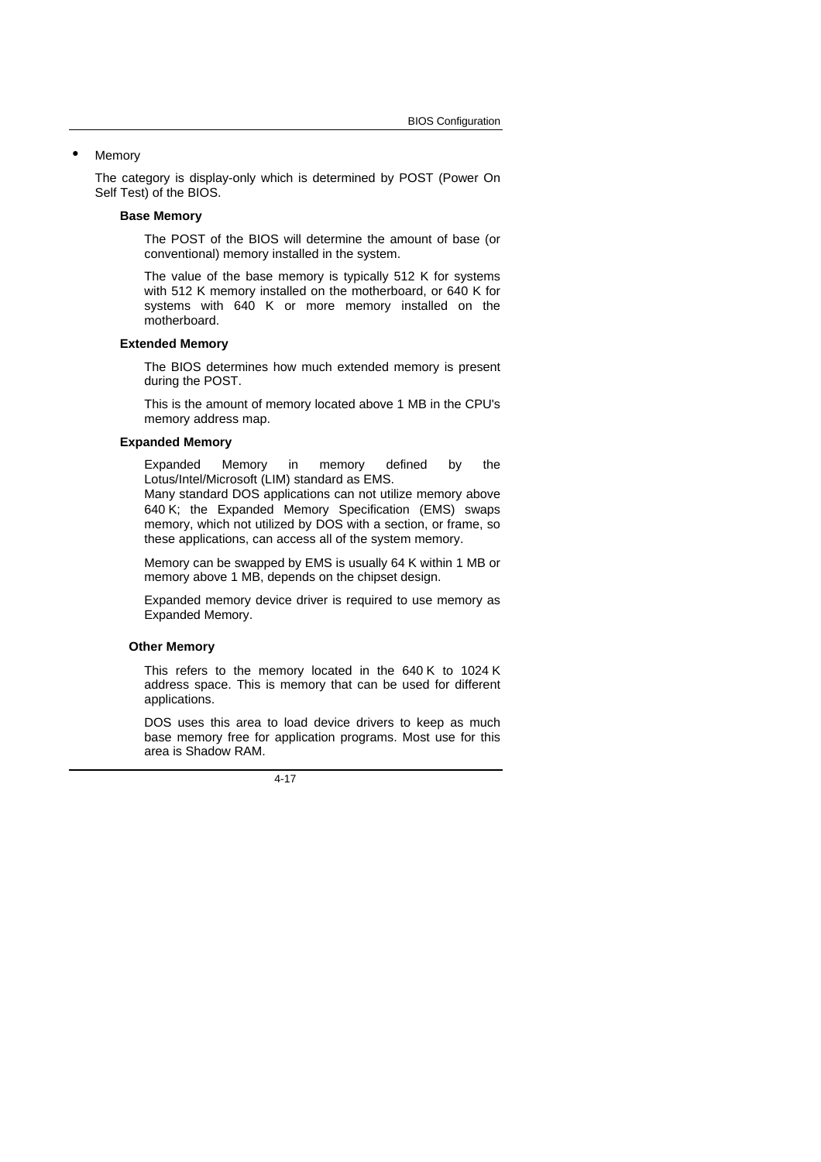#### **Memory**

The category is display-only which is determined by POST (Power On Self Test) of the BIOS.

#### **Base Memory**

The POST of the BIOS will determine the amount of base (or conventional) memory installed in the system.

The value of the base memory is typically 512 K for systems with 512 K memory installed on the motherboard, or 640 K for systems with 640 K or more memory installed on the motherboard.

#### **Extended Memory**

The BIOS determines how much extended memory is present during the POST.

This is the amount of memory located above 1 MB in the CPU's memory address map.

#### **Expanded Memory**

Expanded Memory in memory defined by the Lotus/Intel/Microsoft (LIM) standard as EMS.

Many standard DOS applications can not utilize memory above 640 K; the Expanded Memory Specification (EMS) swaps memory, which not utilized by DOS with a section, or frame, so these applications, can access all of the system memory.

Memory can be swapped by EMS is usually 64 K within 1 MB or memory above 1 MB, depends on the chipset design.

Expanded memory device driver is required to use memory as Expanded Memory.

#### **Other Memory**

This refers to the memory located in the 640 K to 1024 K address space. This is memory that can be used for different applications.

DOS uses this area to load device drivers to keep as much base memory free for application programs. Most use for this area is Shadow RAM.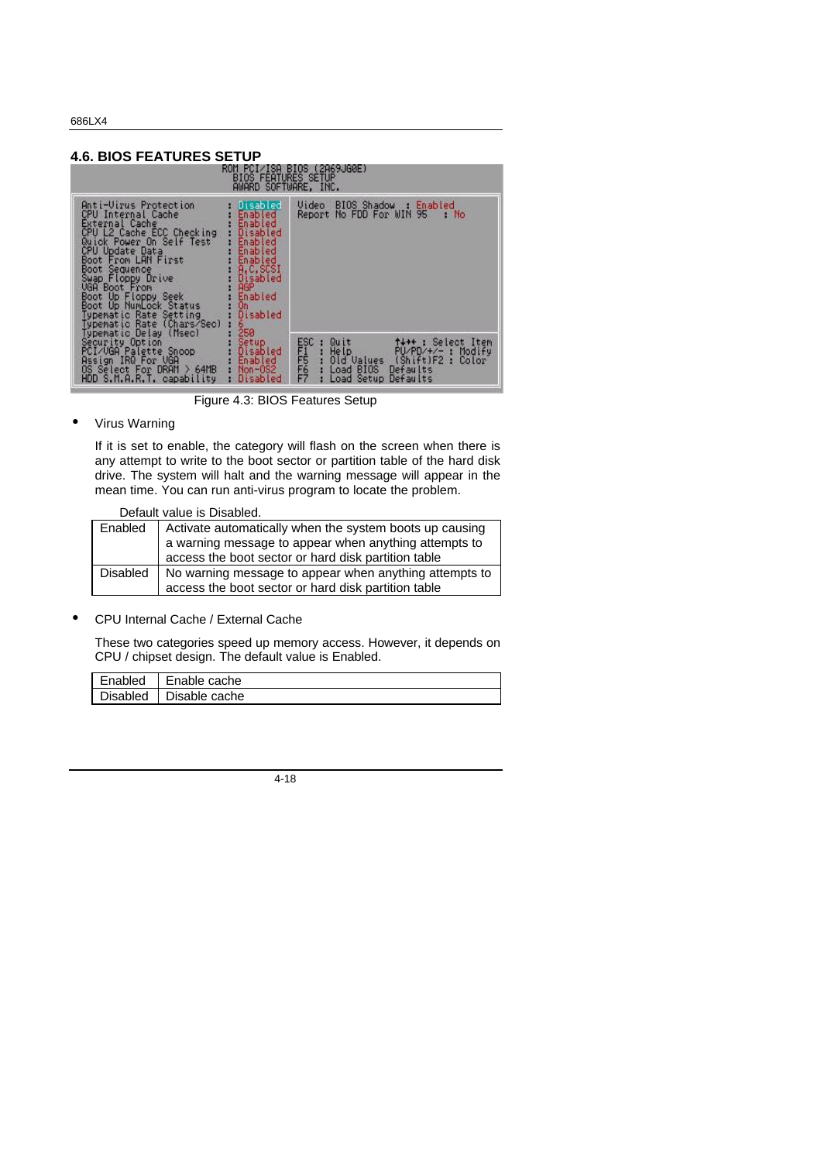#### **4.6. BIOS FEATURES SETUP**<br>**EDD ROM PCL/1SAT**<br>BLOS FEAT BIOS FEAT 9. IGØE ) SÈTUP<br>:, INC. Anti-Uirus Protection<br>CPU Internal Cache<br>External Cache<br>CPU L2 Cache ECC Checking<br>CPU Update Data<br>CPU Update Data<br>CPU Update Data<br>Boot From LAN First<br>Swap Floppy Drive<br>Uga Boot Up Numbook Status<br>Typematic Rate Setting<br>Type Video BIOS Shadow : Enabled<br>Report No FDD For WIN 95 : No abled<br>sabled hled blec abled ,.<br>Misabled etup<br>isabled<br>nabled Select FIF562 r<br>DRAM For Our<br>For DRAM > 64MB<br>.R.T. capability **Disabled** tun

Figure 4.3: BIOS Features Setup

• Virus Warning

If it is set to enable, the category will flash on the screen when there is any attempt to write to the boot sector or partition table of the hard disk drive. The system will halt and the warning message will appear in the mean time. You can run anti-virus program to locate the problem.

Default value is Disabled.

| Enabled  | Activate automatically when the system boots up causing<br>a warning message to appear when anything attempts to<br>access the boot sector or hard disk partition table |
|----------|-------------------------------------------------------------------------------------------------------------------------------------------------------------------------|
| Disabled | No warning message to appear when anything attempts to<br>access the boot sector or hard disk partition table                                                           |
|          |                                                                                                                                                                         |

• CPU Internal Cache / External Cache

These two categories speed up memory access. However, it depends on CPU / chipset design. The default value is Enabled.

| Enabled         | Enable cache  |
|-----------------|---------------|
| <b>Disabled</b> | Disable cache |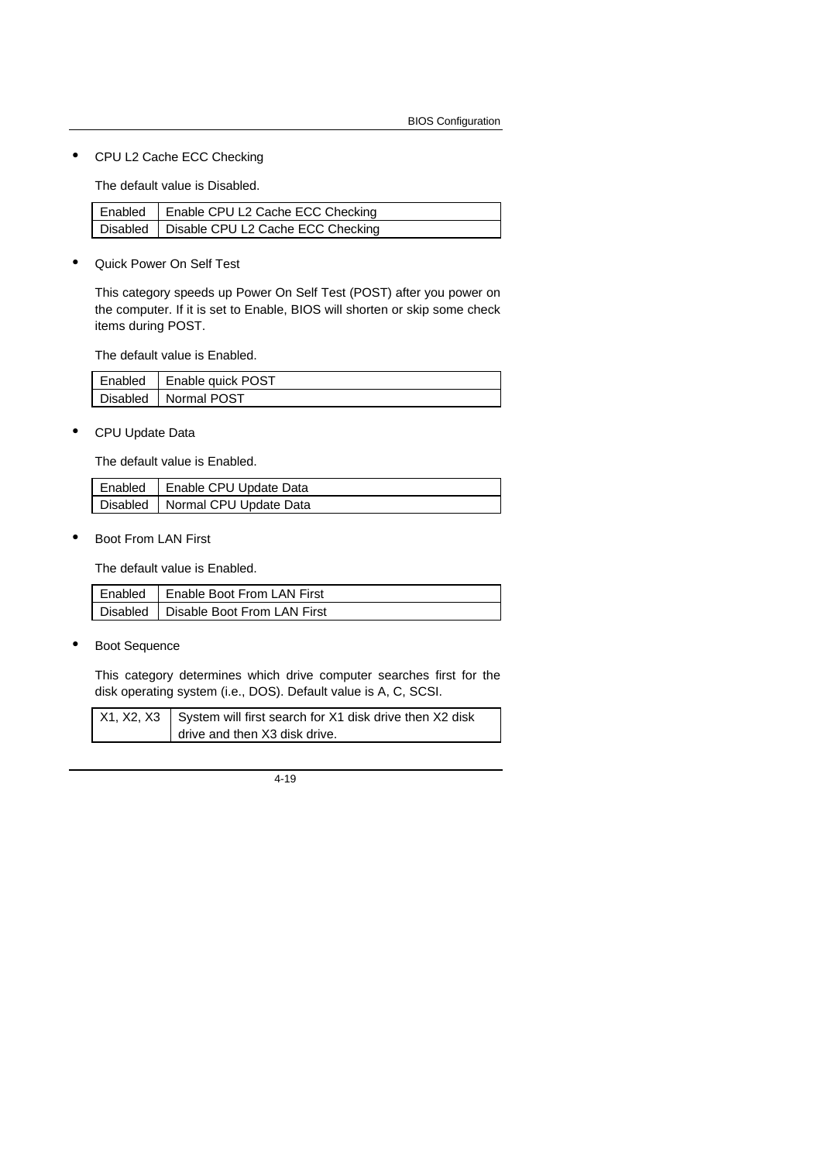• CPU L2 Cache ECC Checking

The default value is Disabled.

| Enabled   Enable CPU L2 Cache ECC Checking   |
|----------------------------------------------|
| Disabled   Disable CPU L2 Cache ECC Checking |

• Quick Power On Self Test

This category speeds up Power On Self Test (POST) after you power on the computer. If it is set to Enable, BIOS will shorten or skip some check items during POST.

The default value is Enabled.

| Enabled | <b>Enable quick POST</b> |
|---------|--------------------------|
|         | Disabled   Normal POST   |

• CPU Update Data

The default value is Enabled.

| Enabled   Enable CPU Update Data  |
|-----------------------------------|
| Disabled   Normal CPU Update Data |

• Boot From LAN First

The default value is Enabled.

| Enabled   Enable Boot From LAN First   |
|----------------------------------------|
| Disabled   Disable Boot From LAN First |

• Boot Sequence

This category determines which drive computer searches first for the disk operating system (i.e., DOS). Default value is A, C, SCSI.

| $X1, X2, X3$ System will first search for X1 disk drive then X2 disk |
|----------------------------------------------------------------------|
| drive and then X3 disk drive.                                        |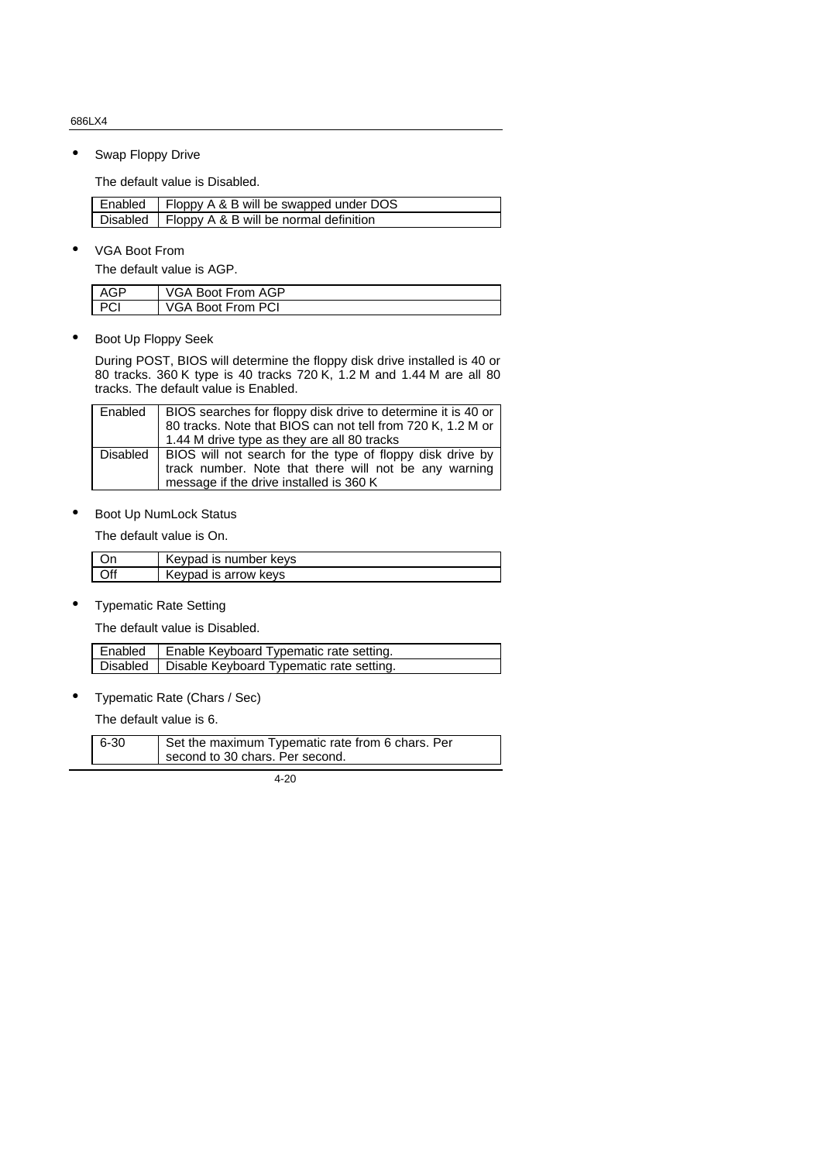• Swap Floppy Drive

The default value is Disabled.

| Enabled   Floppy A & B will be swapped under DOS  |
|---------------------------------------------------|
| Disabled   Floppy A & B will be normal definition |

• VGA Boot From

The default value is AGP.

| $\triangle$ $\cap$ $\triangleright$ | VGA Boot From AGP |
|-------------------------------------|-------------------|
|                                     | VGA Boot From PCI |

• Boot Up Floppy Seek

During POST, BIOS will determine the floppy disk drive installed is 40 or 80 tracks. 360 K type is 40 tracks 720 K, 1.2 M and 1.44 M are all 80 tracks. The default value is Enabled.

| Enabled  | BIOS searches for floppy disk drive to determine it is 40 or                                                       |
|----------|--------------------------------------------------------------------------------------------------------------------|
|          | 80 tracks. Note that BIOS can not tell from 720 K, 1.2 M or                                                        |
|          | 1.44 M drive type as they are all 80 tracks                                                                        |
| Disabled | BIOS will not search for the type of floppy disk drive by<br>track number. Note that there will not be any warning |
|          | message if the drive installed is 360 K                                                                            |

**Boot Up NumLock Status** 

The default value is On.

| Keypad is number keys |
|-----------------------|
| Keypad is arrow keys  |

• Typematic Rate Setting

The default value is Disabled.

| Enabled   Enable Keyboard Typematic rate setting.   |
|-----------------------------------------------------|
| Disabled   Disable Keyboard Typematic rate setting. |

• Typematic Rate (Chars / Sec)

The default value is 6.

| $6 - 30$ | Set the maximum Typematic rate from 6 chars. Per |
|----------|--------------------------------------------------|
|          | second to 30 chars. Per second.                  |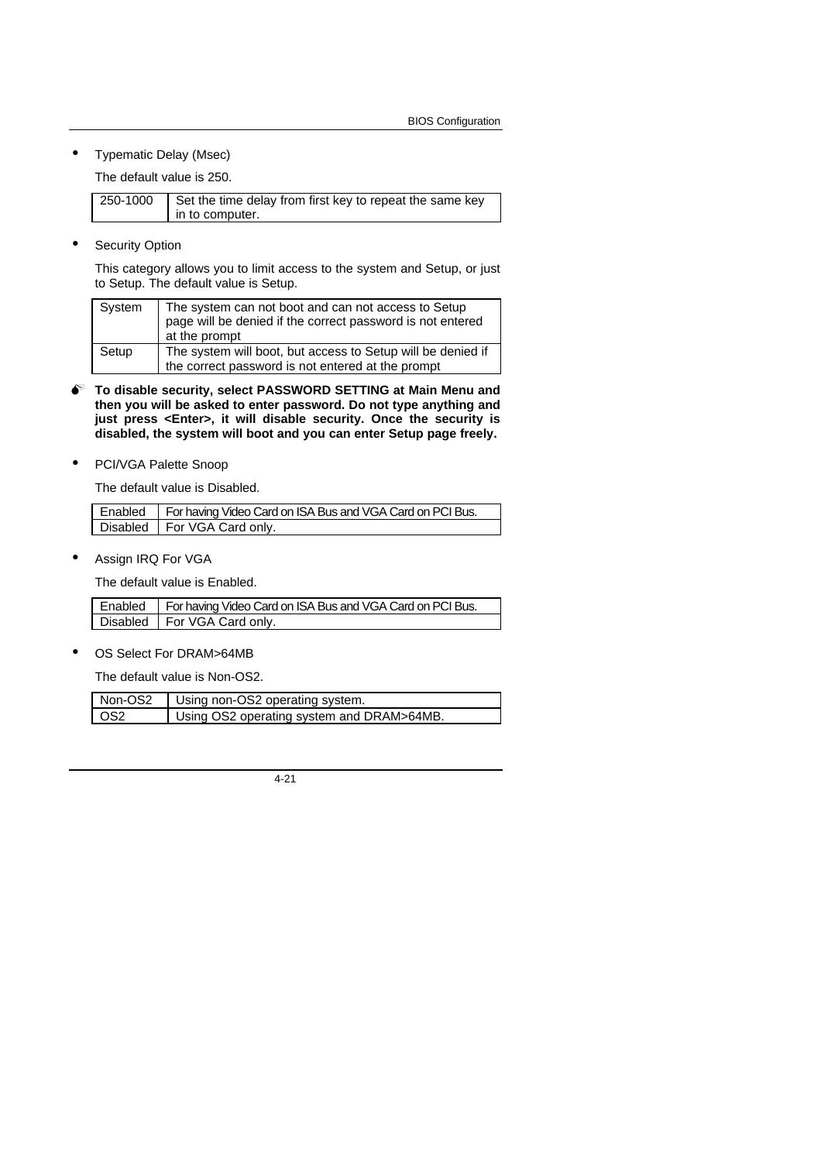• Typematic Delay (Msec)

The default value is 250.

| 250-1000 | Set the time delay from first key to repeat the same key |
|----------|----------------------------------------------------------|
|          | in to computer.                                          |

Security Option

This category allows you to limit access to the system and Setup, or just to Setup. The default value is Setup.

| System | The system can not boot and can not access to Setup<br>page will be denied if the correct password is not entered<br>at the prompt |
|--------|------------------------------------------------------------------------------------------------------------------------------------|
| Setup  | The system will boot, but access to Setup will be denied if<br>the correct password is not entered at the prompt                   |

- $\bullet^*$  To disable security, select PASSWORD SETTING at Main Menu and **then you will be asked to enter password. Do not type anything and just press <Enter>, it will disable security. Once the security is disabled, the system will boot and you can enter Setup page freely.**
- PCI/VGA Palette Snoop

The default value is Disabled.

| Enabled   For having Video Card on ISA Bus and VGA Card on PCI Bus. |
|---------------------------------------------------------------------|
| Disabled   For VGA Card only.                                       |

Assign IRQ For VGA

The default value is Enabled.

| Enabled   For having Video Card on ISA Bus and VGA Card on PCI Bus. |
|---------------------------------------------------------------------|
| Disabled   For VGA Card only.                                       |

OS Select For DRAM>64MB

The default value is Non-OS2.

| Non-OS2 | Using non-OS2 operating system.           |
|---------|-------------------------------------------|
| - OS2   | Using OS2 operating system and DRAM>64MB. |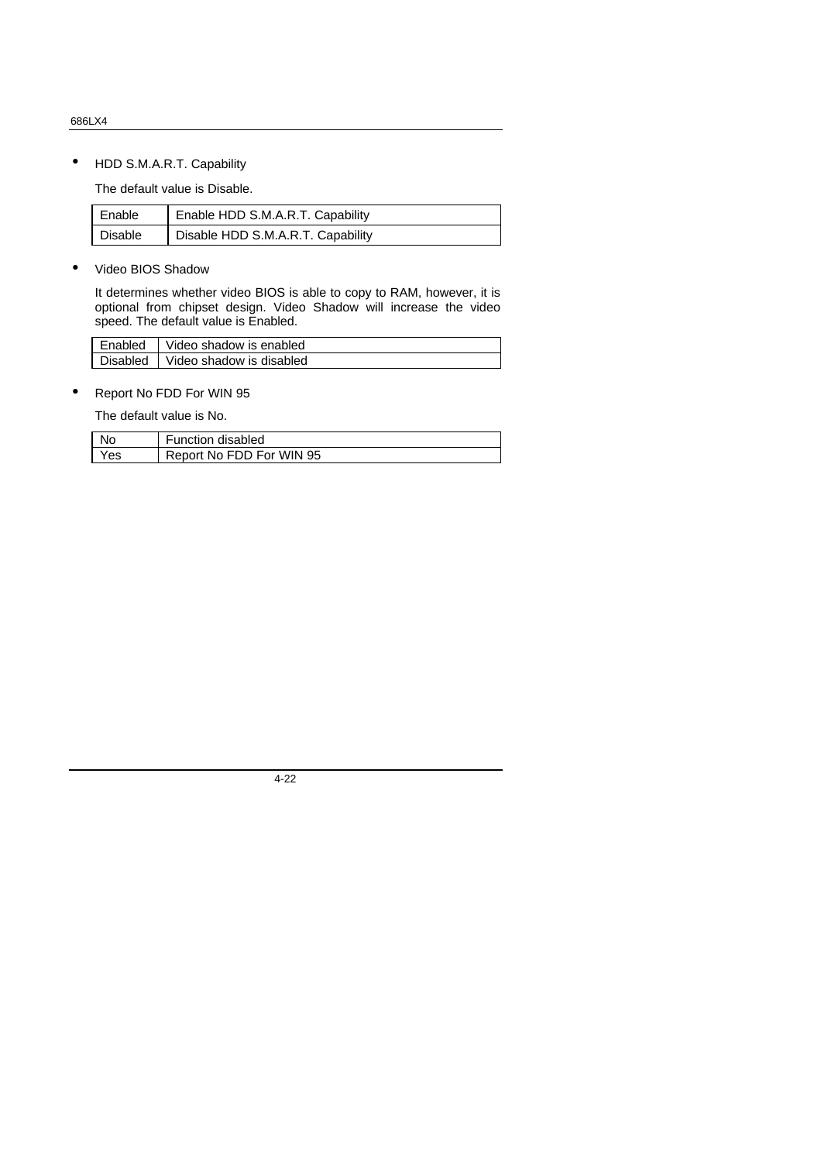• HDD S.M.A.R.T. Capability

The default value is Disable.

| Enable  | Enable HDD S.M.A.R.T. Capability  |
|---------|-----------------------------------|
| Disable | Disable HDD S.M.A.R.T. Capability |

• Video BIOS Shadow

It determines whether video BIOS is able to copy to RAM, however, it is optional from chipset design. Video Shadow will increase the video speed. The default value is Enabled.

| Enabled  | Video shadow is enabled  |
|----------|--------------------------|
| Disabled | Video shadow is disabled |

• Report No FDD For WIN 95

The default value is No.

| Nc  | <b>Function disabled</b> |
|-----|--------------------------|
| Yes | Report No FDD For WIN 95 |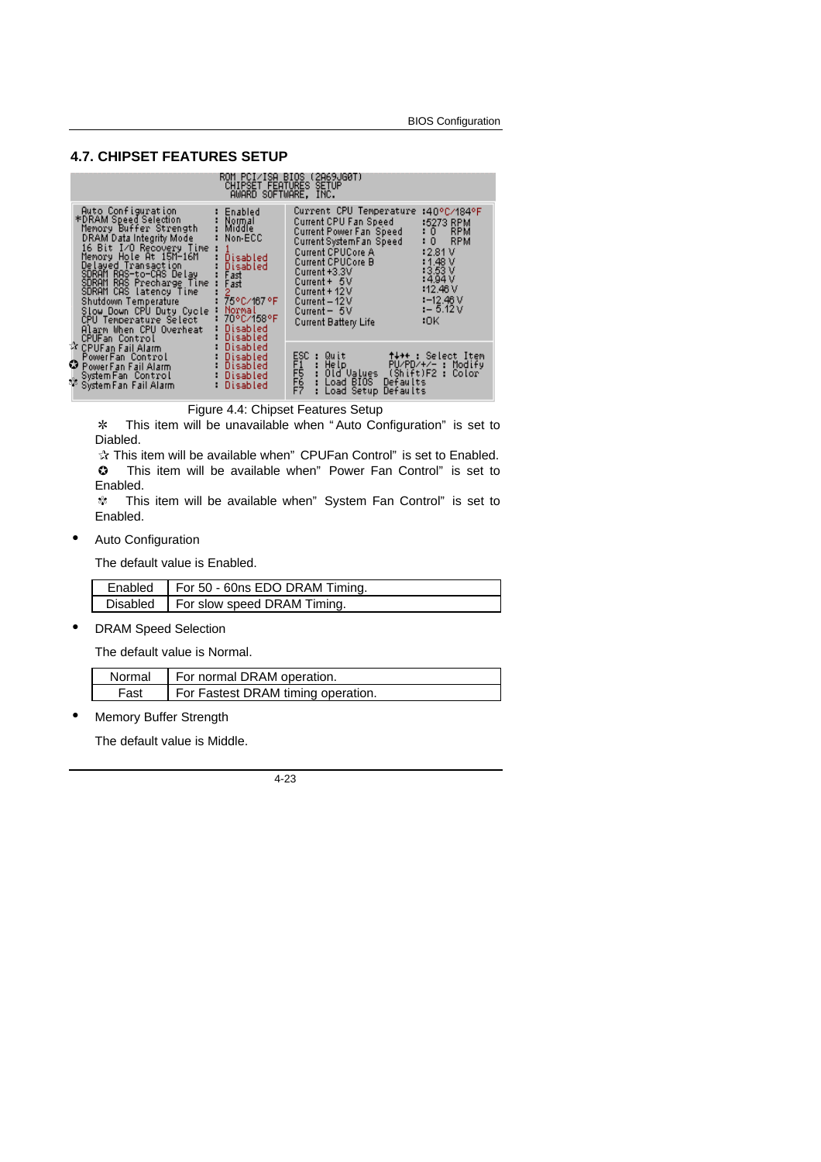### **4.7. CHIPSET FEATURES SETUP**

|                                                                                                                                                                                                                                                                                                                                                                                                                                                                                                                                                | <b>CHIPSET FEATURES SETUP</b><br>AWARD SOFTWARE, INC.                   | ROM PCI/ISA BIOS (2A69JG0T)                                                                                                                                                                                                                                              |                                                                                                                                                               |
|------------------------------------------------------------------------------------------------------------------------------------------------------------------------------------------------------------------------------------------------------------------------------------------------------------------------------------------------------------------------------------------------------------------------------------------------------------------------------------------------------------------------------------------------|-------------------------------------------------------------------------|--------------------------------------------------------------------------------------------------------------------------------------------------------------------------------------------------------------------------------------------------------------------------|---------------------------------------------------------------------------------------------------------------------------------------------------------------|
| Auto Configuration<br>Enabled<br>*DRAM Speed Selection<br>Normal<br>Middle<br>Memory Buffer Strength<br>DRAM Data Integrity Mode<br>Non-ECC<br>16 Bit I⁄O Recovery Time<br>Memory Hole At 15M-16M<br>Disabled<br>Delayed Transaction<br>Disabled<br>SDRAM RAS-to-CAS Delay<br>Fast<br>SDRAM RAS Precharge Time<br>Fast<br>SDRAM CAS latency Time<br>2<br>75°C/167°F<br>Shutdown Temperature<br>Normal<br>Slow Down CPU Duty Cycle<br>70°C/158°F<br>CPU Temperature Select<br>Disabled<br>Alarm When CPU Overheat<br>Disabled<br>CPUFan Control |                                                                         | Current CPU Temperature<br>Current CPU Fan Speed<br>Current Power Fan Speed<br>Current SystemFan Speed<br><b>Current CPUCore A</b><br>Current CPUCore B<br>Current +3.3V<br>$Current + 5V$<br>Current + 12 V<br>Current – 12 V<br>$Current - 5V$<br>Current Battery Life | :40°C/184°F<br>:5273 RPM<br><b>RPM</b><br>: 0<br>: 0<br><b>RPM</b><br>:2.81V<br>1.48V<br>:3.53 V<br>:4.94 V<br>112.46V<br>$1 - 12.46$ V<br>$1 - 5.12V$<br>:OK |
| ☆ CPUFan Fail Alarm<br>PowerFan Control<br>PowerFan Fail Alarm<br>System Fan Control<br>్య System Fan Fail Alarm<br>శిక్ష్య System Fan Fail Alarm                                                                                                                                                                                                                                                                                                                                                                                              | Disabled<br>Disabled: :<br><b>Disabled</b><br>Disabled: U<br>– Disabled | ESC<br>F15<br>F7<br>F7<br>: Quit         †↓◆← : Select Item<br>: Help              PU/PD/+/− : Modify<br>: Old V <u>alue</u> s  (Shift)F2 : Color<br>: Load BIOS Defaults<br>Load Setup Defaults                                                                         |                                                                                                                                                               |

Figure 4.4: Chipset Features Setup

\* This item will be unavailable when "Auto Configuration" is set to Diabled.

 $\hat{x}$  This item will be available when" CPUFan Control" is set to Enabled. **C** This item will be available when" Power Fan Control" is set to Enabled.

\* This item will be available when" System Fan Control" is set to Enabled.

• Auto Configuration

The default value is Enabled.

| Enabled   For 50 - 60ns EDO DRAM Timing. |
|------------------------------------------|
| Disabled   For slow speed DRAM Timing.   |

• DRAM Speed Selection

The default value is Normal.

|      | Normal   For normal DRAM operation. |
|------|-------------------------------------|
| Fast | For Fastest DRAM timing operation.  |

Memory Buffer Strength

The default value is Middle.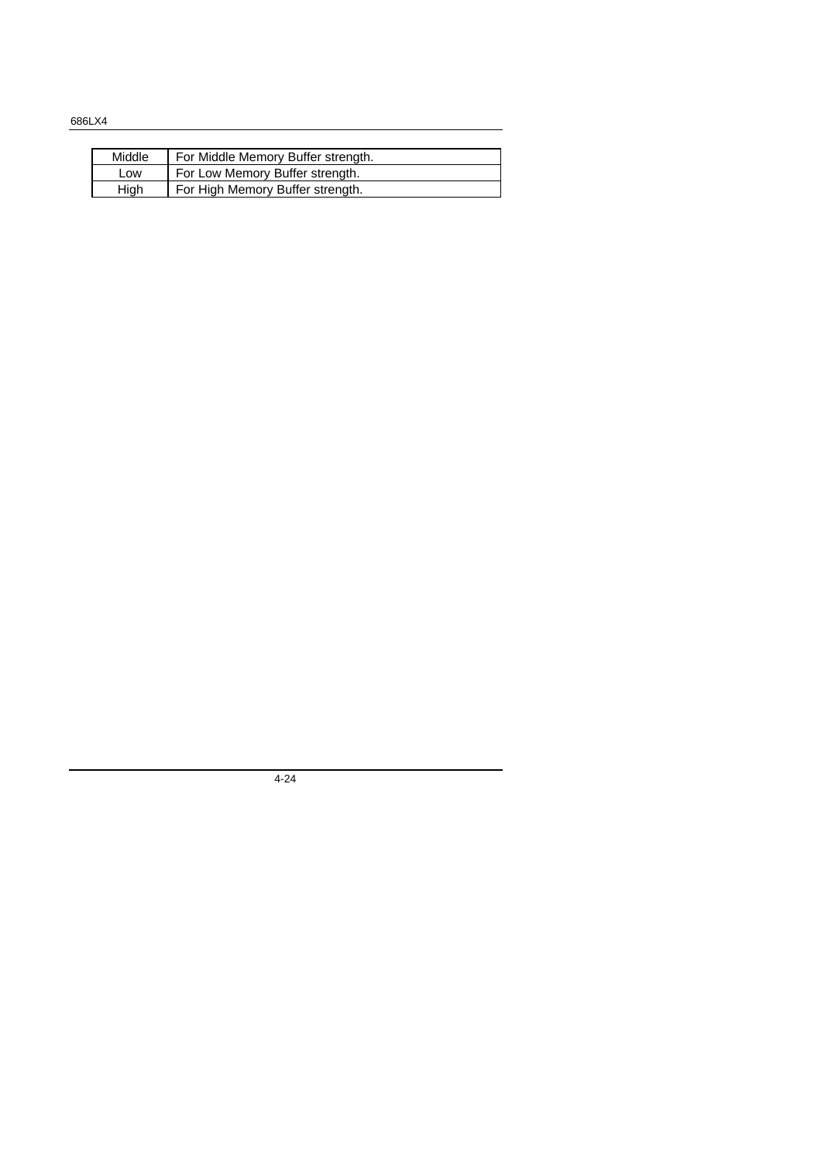| Middle | For Middle Memory Buffer strength. |
|--------|------------------------------------|
| Low    | For Low Memory Buffer strength.    |
| Hiah   | For High Memory Buffer strength.   |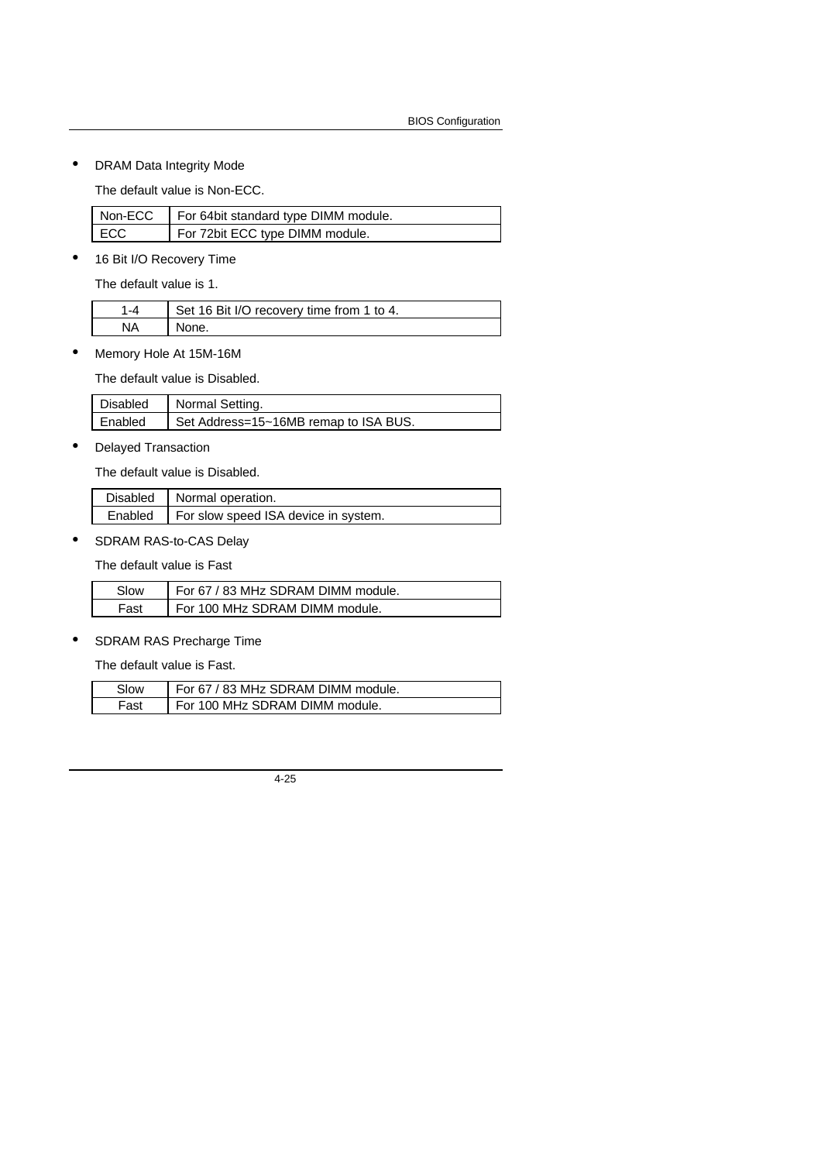• DRAM Data Integrity Mode

The default value is Non-ECC.

| Non-ECC | For 64bit standard type DIMM module. |
|---------|--------------------------------------|
| ECC     | For 72bit ECC type DIMM module.      |

• 16 Bit I/O Recovery Time

The default value is 1.

| Set 16 Bit I/O recovery time from 1 to 4. |
|-------------------------------------------|
| None.                                     |

• Memory Hole At 15M-16M

The default value is Disabled.

| Disabled | Normal Setting.                       |
|----------|---------------------------------------|
| Enabled  | Set Address=15~16MB remap to ISA BUS. |

• Delayed Transaction

The default value is Disabled.

| Disabled   Normal operation.                   |
|------------------------------------------------|
| Enabled   For slow speed ISA device in system. |

• SDRAM RAS-to-CAS Delay

The default value is Fast

| Slow | For 67 / 83 MHz SDRAM DIMM module. |
|------|------------------------------------|
| Fast | For 100 MHz SDRAM DIMM module.     |

• SDRAM RAS Precharge Time

The default value is Fast.

| Slow | For 67 / 83 MHz SDRAM DIMM module. |
|------|------------------------------------|
| Fast | For 100 MHz SDRAM DIMM module.     |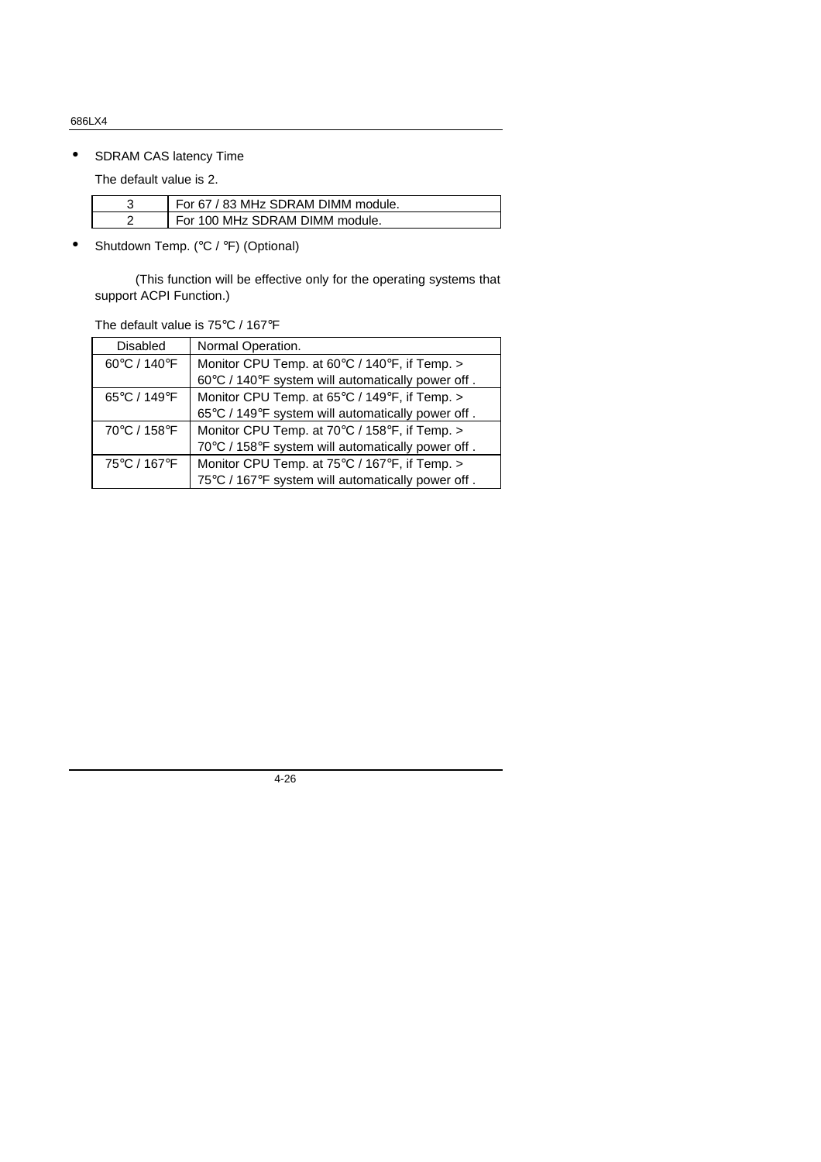# • SDRAM CAS latency Time

The default value is 2.

| For 67 / 83 MHz SDRAM DIMM module. |
|------------------------------------|
| For 100 MHz SDRAM DIMM module.     |

• Shutdown Temp. (°C / °F) (Optional)

 (This function will be effective only for the operating systems that support ACPI Function.)

The default value is 75°C / 167°F

| Disabled     | Normal Operation.                                 |
|--------------|---------------------------------------------------|
| 60°C / 140°F | Monitor CPU Temp. at 60°C / 140°F, if Temp. >     |
|              | 60°C / 140°F system will automatically power off. |
| 65°C / 149°F | Monitor CPU Temp. at 65°C / 149°F, if Temp. >     |
|              | 65°C / 149°F system will automatically power off. |
| 70°C / 158°F | Monitor CPU Temp. at 70°C / 158°F, if Temp. >     |
|              | 70°C / 158°F system will automatically power off. |
| 75°C / 167°F | Monitor CPU Temp. at 75°C / 167°F, if Temp. >     |
|              | 75°C / 167°F system will automatically power off. |
|              |                                                   |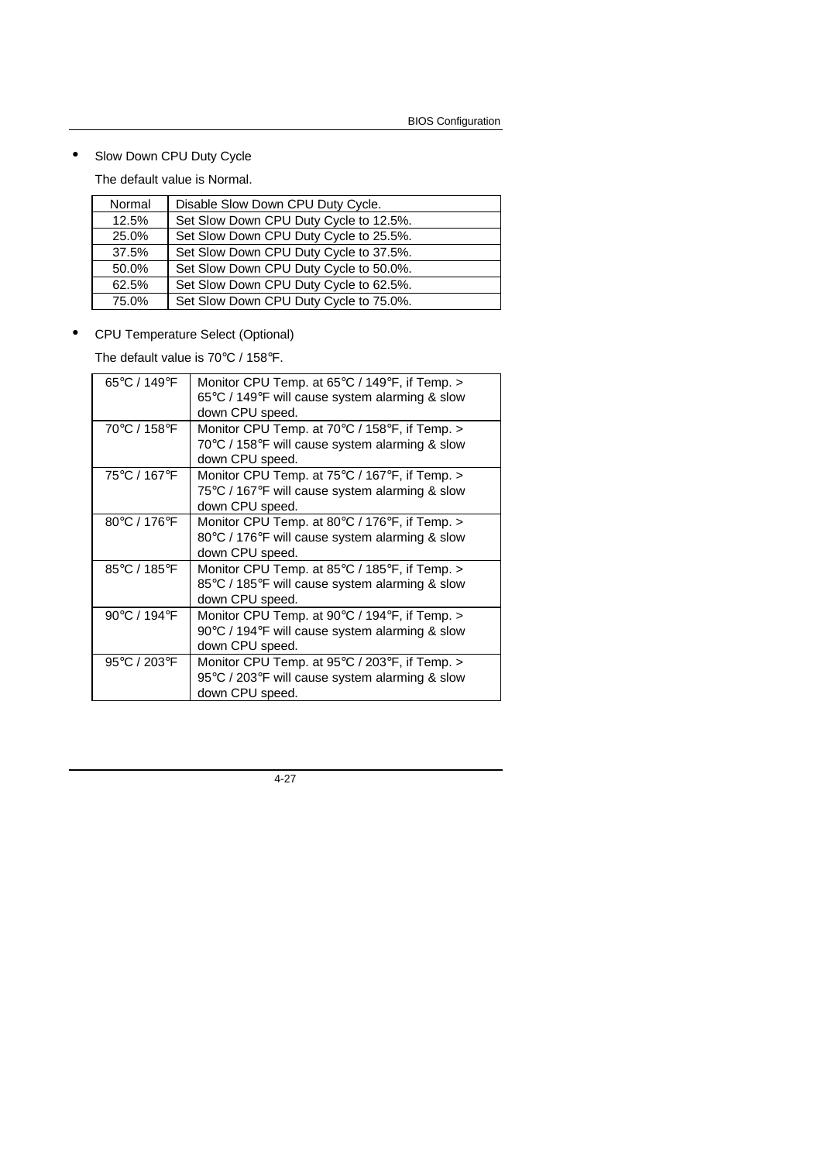• Slow Down CPU Duty Cycle

The default value is Normal.

| Normal | Disable Slow Down CPU Duty Cycle.      |
|--------|----------------------------------------|
| 12.5%  | Set Slow Down CPU Duty Cycle to 12.5%. |
| 25.0%  | Set Slow Down CPU Duty Cycle to 25.5%. |
| 37.5%  | Set Slow Down CPU Duty Cycle to 37.5%. |
| 50.0%  | Set Slow Down CPU Duty Cycle to 50.0%. |
| 62.5%  | Set Slow Down CPU Duty Cycle to 62.5%. |
| 75.0%  | Set Slow Down CPU Duty Cycle to 75.0%. |

• CPU Temperature Select (Optional)

The default value is 70°C / 158°F.

| 65°C / 149°F | Monitor CPU Temp. at 65°C / 149°F, if Temp. ><br>65°C / 149°F will cause system alarming & slow<br>down CPU speed.                      |
|--------------|-----------------------------------------------------------------------------------------------------------------------------------------|
| 70°C / 158°F | Monitor CPU Temp. at 70°C / 158°F, if Temp. ><br>70°C / 158°F will cause system alarming & slow<br>down CPU speed.                      |
| 75°C / 167°F | Monitor CPU Temp. at $75^{\circ}$ C / 167 $^{\circ}$ F, if Temp. ><br>75°C / 167°F will cause system alarming & slow<br>down CPU speed. |
| 80°C / 176°F | Monitor CPU Temp. at 80°C / 176°F, if Temp. ><br>80°C / 176°F will cause system alarming & slow<br>down CPU speed.                      |
| 85°C / 185°F | Monitor CPU Temp. at 85°C / 185°F, if Temp. ><br>85°C / 185°F will cause system alarming & slow<br>down CPU speed.                      |
| 90°C / 194°F | Monitor CPU Temp. at 90 $\degree$ C / 194 $\degree$ F, if Temp. ><br>90°C / 194°F will cause system alarming & slow<br>down CPU speed.  |
| 95°C / 203°F | Monitor CPU Temp. at 95°C / 203°F, if Temp. ><br>95°C / 203°F will cause system alarming & slow<br>down CPU speed.                      |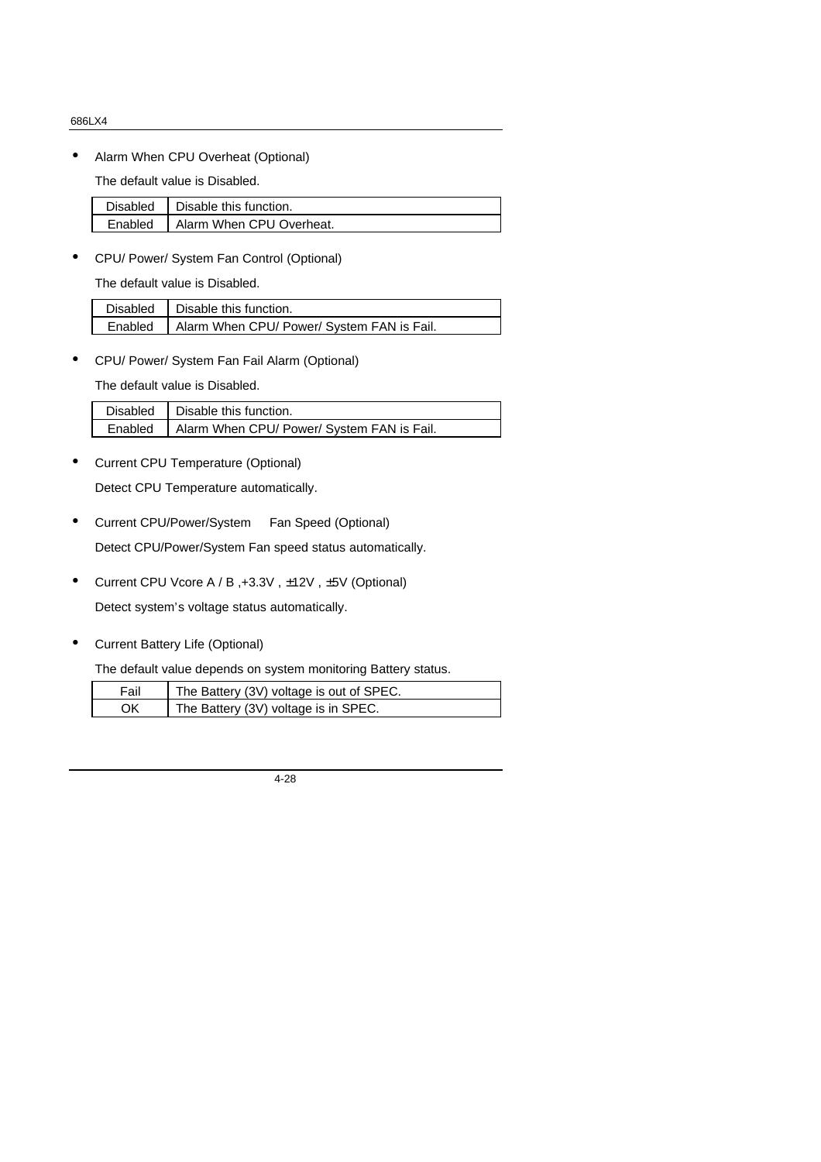• Alarm When CPU Overheat (Optional)

The default value is Disabled.

| Disabled   Disable this function.  |
|------------------------------------|
| Enabled   Alarm When CPU Overheat. |

• CPU/ Power/ System Fan Control (Optional)

The default value is Disabled.

| Disabled   Disable this function.                    |
|------------------------------------------------------|
| Enabled   Alarm When CPU/ Power/ System FAN is Fail. |

• CPU/ Power/ System Fan Fail Alarm (Optional)

The default value is Disabled.

| Disabled   Disable this function.                    |
|------------------------------------------------------|
| Enabled   Alarm When CPU/ Power/ System FAN is Fail. |

• Current CPU Temperature (Optional)

Detect CPU Temperature automatically.

- Current CPU/Power/System Fan Speed (Optional) Detect CPU/Power/System Fan speed status automatically.
- Current CPU Vcore A / B ,+3.3V , ±12V , ±5V (Optional)

Detect system's voltage status automatically.

• Current Battery Life (Optional)

The default value depends on system monitoring Battery status.

| Fail | The Battery (3V) voltage is out of SPEC. |
|------|------------------------------------------|
| ΟK   | The Battery (3V) voltage is in SPEC.     |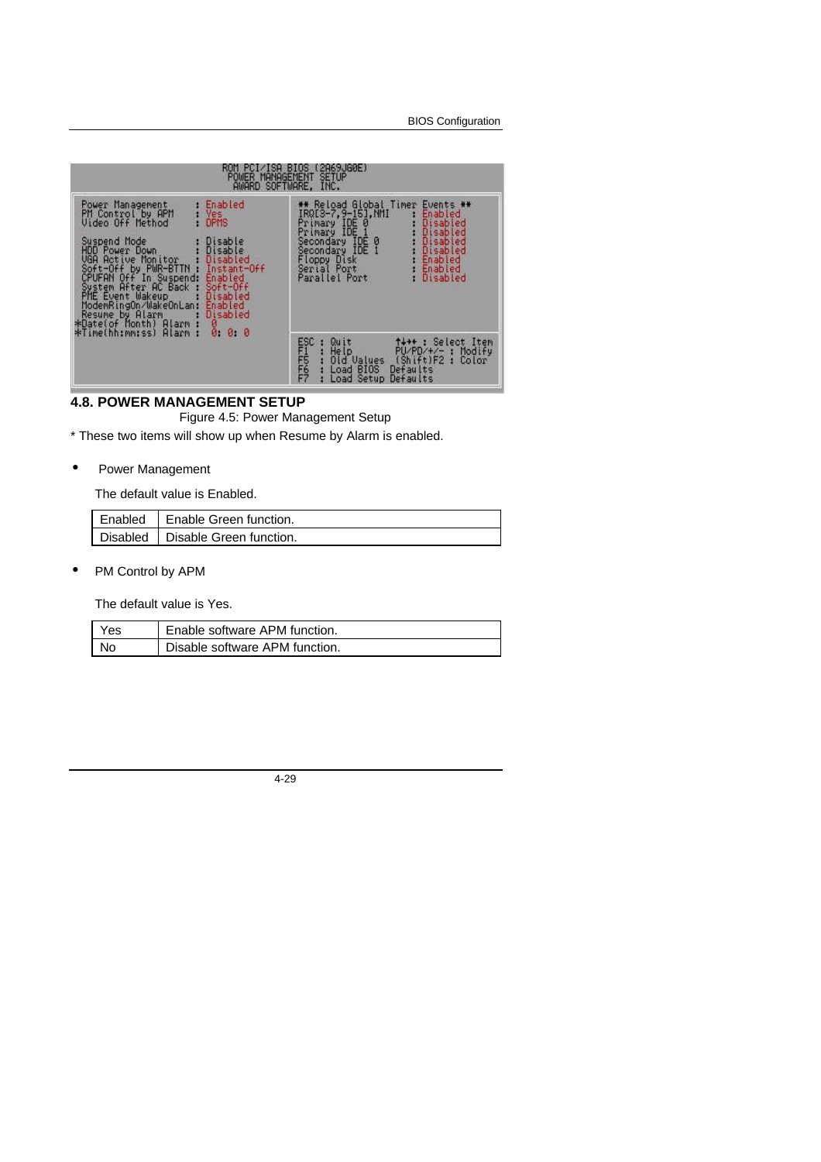BIOS Configuration

| POWER MANAGEMENT<br>AWARD SOFTWARE, INC.                                                                                                                                                                                                                                                                                                                                                                                                        | ROM PCI∕ISA BIUS (2A69JG0E)<br><b>SETUP</b>                                                                                                                                                                                                                                          |
|-------------------------------------------------------------------------------------------------------------------------------------------------------------------------------------------------------------------------------------------------------------------------------------------------------------------------------------------------------------------------------------------------------------------------------------------------|--------------------------------------------------------------------------------------------------------------------------------------------------------------------------------------------------------------------------------------------------------------------------------------|
| Enabled<br>Power Management<br><b>Yes</b><br>DPMS<br>PM Control by APM<br>Video Off Method<br>Suspend Mode<br>Disable<br>Disable<br><b>HDD Power Down</b><br>UGA Active Monitor : Disabled<br>Soft-Off by PWR-BTTN : Instant-Off<br>CPUFAN Off In Suspend:<br>Enabled<br>System After AC Back :<br>$Soft-Off$<br>PME Event Wakeup<br>Disabled<br>ModemRingOn/WakeOnLan:<br>Enabled<br>Resume by Alarm<br>Disabled<br>*Date(of Month) Alarm<br>8 | <b>** Reload Global Timer</b><br>Events **<br>IRQ[3-7,9-15], NMI<br>Enabled<br>Primary IDE 0<br>Disabled<br>Disabled<br>Primary IDE 1<br>Secondary IDE 0<br>Disabled<br>Disabled<br>Secondary IDE 1<br>Enabled<br>Floppy Disk<br>Serial Port<br>Parallel Port<br>Enabled<br>Disabled |
| *Time(hh:mm:ss)<br>Alarm<br>Ø.<br>ø                                                                                                                                                                                                                                                                                                                                                                                                             | ESC<br>FFFFFFF<br>FF<br>tt** : Select Item<br>PU/PD/+/- : Modify<br>Quit<br>He Ip<br>я<br>Old Values<br>(Shift)F2 :<br>Defaults<br>Color<br><b>BIOS</b><br>Load<br>Load Setup<br>Defaults                                                                                            |

# **4.8. POWER MANAGEMENT SETUP**

Figure 4.5: Power Management Setup

\* These two items will show up when Resume by Alarm is enabled.

# • Power Management

The default value is Enabled.

| Enabled   Enable Green function.   |
|------------------------------------|
| Disabled   Disable Green function. |

• PM Control by APM

The default value is Yes.

| Yes | Enable software APM function.  |
|-----|--------------------------------|
| No. | Disable software APM function. |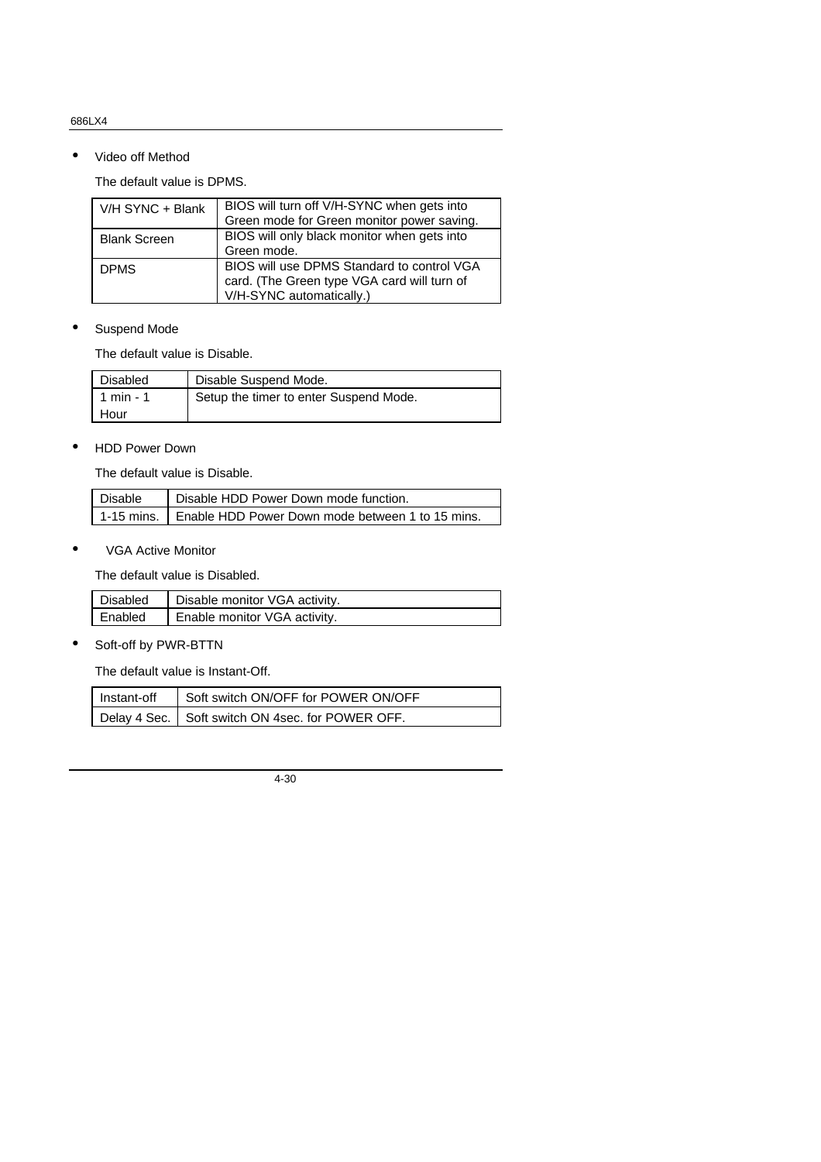• Video off Method

The default value is DPMS.

| V/H SYNC + Blank    | BIOS will turn off V/H-SYNC when gets into  |
|---------------------|---------------------------------------------|
|                     | Green mode for Green monitor power saving.  |
| <b>Blank Screen</b> | BIOS will only black monitor when gets into |
|                     | Green mode.                                 |
| <b>DPMS</b>         | BIOS will use DPMS Standard to control VGA  |
|                     | card. (The Green type VGA card will turn of |
|                     | V/H-SYNC automatically.)                    |

#### • Suspend Mode

The default value is Disable.

| Disabled  | Disable Suspend Mode.                  |
|-----------|----------------------------------------|
| 1 min - 1 | Setup the timer to enter Suspend Mode. |
| Hour      |                                        |

#### • HDD Power Down

The default value is Disable.

| Disable | Disable HDD Power Down mode function.                         |
|---------|---------------------------------------------------------------|
|         | 1-15 mins.   Enable HDD Power Down mode between 1 to 15 mins. |

• VGA Active Monitor

The default value is Disabled.

| Disabled | Disable monitor VGA activity. |
|----------|-------------------------------|
| Enabled  | Enable monitor VGA activity.  |

• Soft-off by PWR-BTTN

The default value is Instant-Off.

| Instant-off | Soft switch ON/OFF for POWER ON/OFF                |
|-------------|----------------------------------------------------|
|             | Delay 4 Sec.   Soft switch ON 4sec. for POWER OFF. |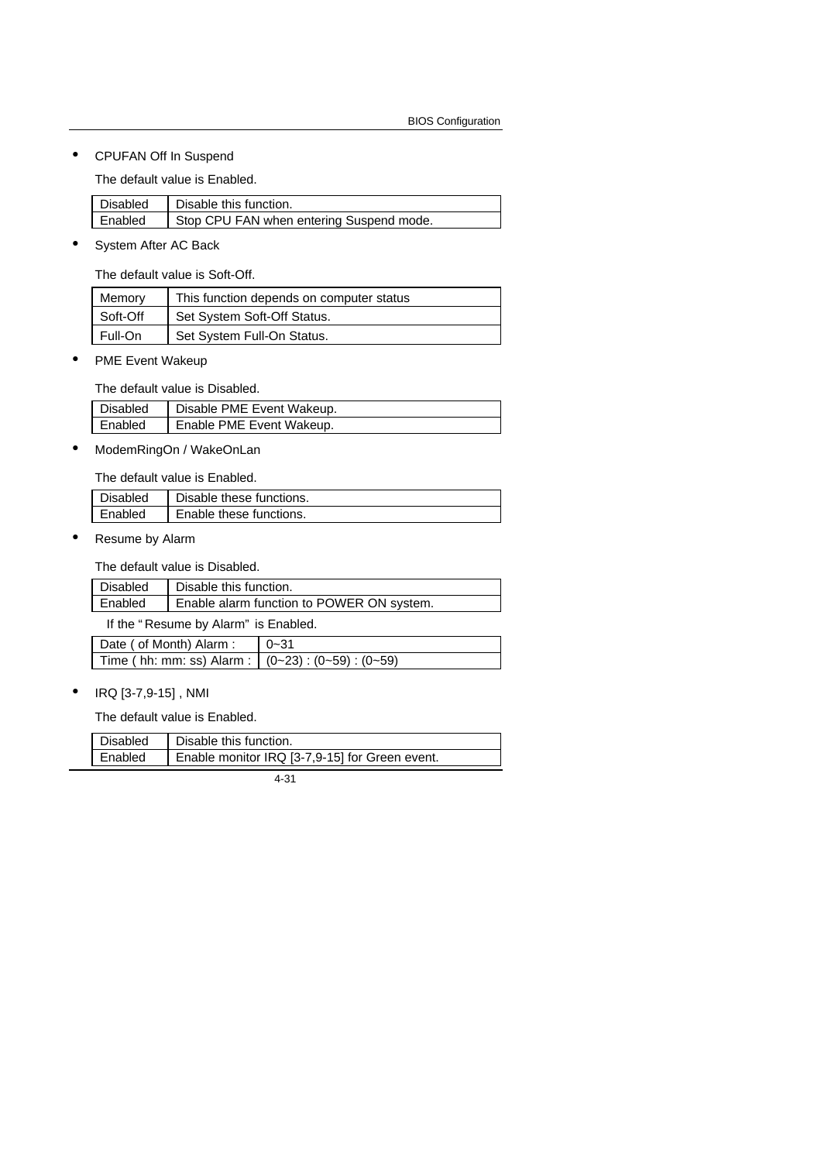• CPUFAN Off In Suspend

The default value is Enabled.

|         | Disabled   Disable this function.        |
|---------|------------------------------------------|
| Enabled | Stop CPU FAN when entering Suspend mode. |

• System After AC Back

The default value is Soft-Off.

| Memory   | This function depends on computer status |
|----------|------------------------------------------|
| Soft-Off | Set System Soft-Off Status.              |
| Full-On  | Set System Full-On Status.               |

PME Event Wakeup

The default value is Disabled.

| Disabled | Disable PME Event Wakeup. |
|----------|---------------------------|
| Enabled  | Enable PME Event Wakeup.  |

• ModemRingOn / WakeOnLan

The default value is Enabled.

| Disabled | Disable these functions. |
|----------|--------------------------|
| Enabled  | Enable these functions.  |

Resume by Alarm

The default value is Disabled.

| Disabled | Disable this function.                    |
|----------|-------------------------------------------|
| Enabled  | Enable alarm function to POWER ON system. |

If the " Resume by Alarm" is Enabled.

| Date ( of Month) Alarm :                                  | $0 - 31$ |
|-----------------------------------------------------------|----------|
| Time ( hh: mm: ss) Alarm : $(0-23)$ : $(0-59)$ : $(0-59)$ |          |

• IRQ [3-7,9-15] , NMI

The default value is Enabled.

| Disabled | Disable this function.                         |
|----------|------------------------------------------------|
| Enabled  | Enable monitor IRQ [3-7,9-15] for Green event. |
|          |                                                |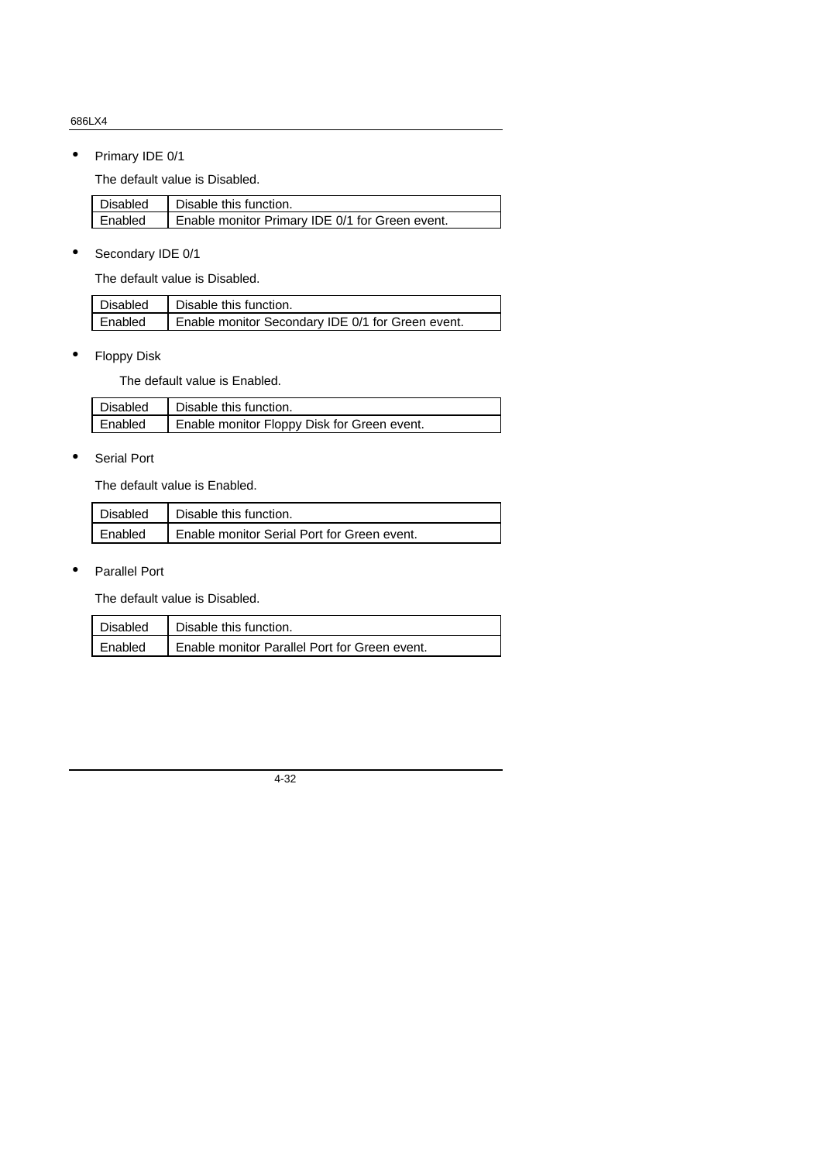• Primary IDE 0/1

The default value is Disabled.

| Disabled | Disable this function.                          |
|----------|-------------------------------------------------|
| Enabled  | Enable monitor Primary IDE 0/1 for Green event. |

• Secondary IDE 0/1

The default value is Disabled.

| Disabled | Disable this function.                            |
|----------|---------------------------------------------------|
| Enabled  | Enable monitor Secondary IDE 0/1 for Green event. |

• Floppy Disk

The default value is Enabled.

| Disabled | Disable this function.                      |
|----------|---------------------------------------------|
| Enabled  | Enable monitor Floppy Disk for Green event. |

#### • Serial Port

The default value is Enabled.

| Disabled | Disable this function.                      |
|----------|---------------------------------------------|
| Enabled  | Enable monitor Serial Port for Green event. |

• Parallel Port

The default value is Disabled.

| Disabled | Disable this function.                        |
|----------|-----------------------------------------------|
| Enabled  | Enable monitor Parallel Port for Green event. |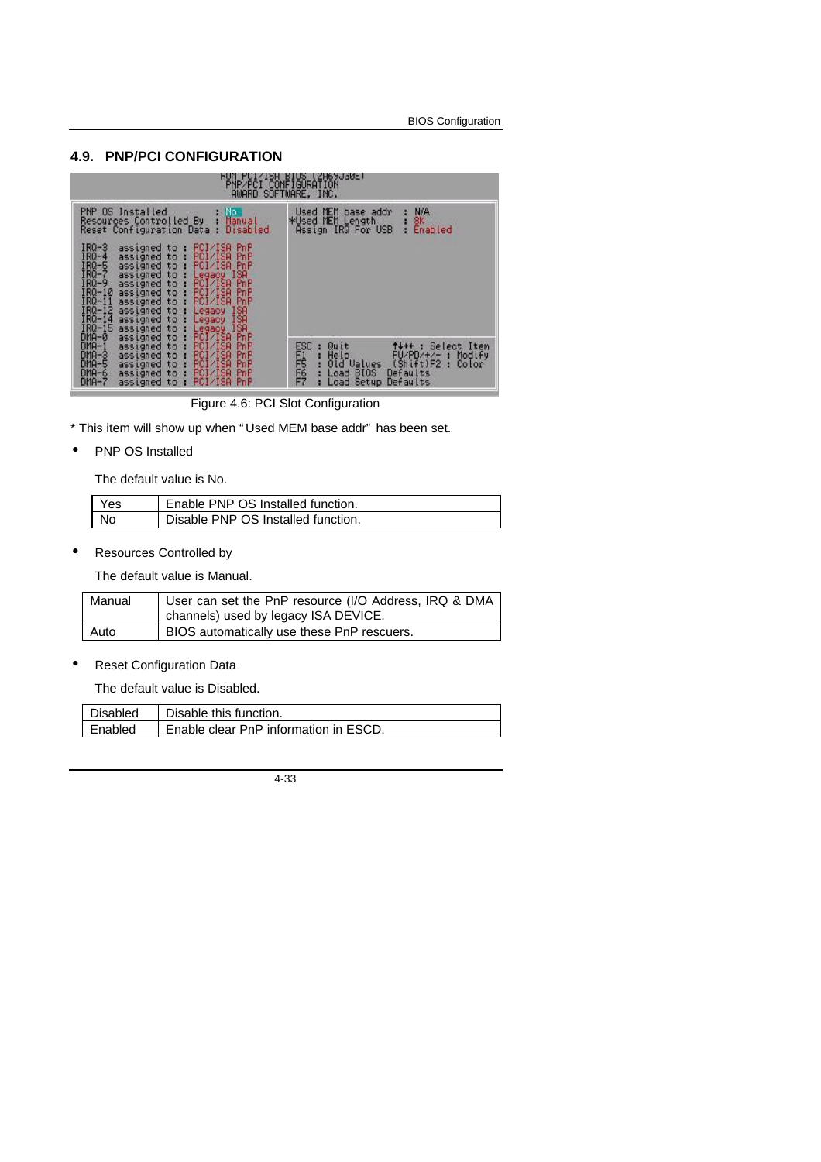#### **4.9. PNP/PCI CONFIGURATION**



Figure 4.6: PCI Slot Configuration

\* This item will show up when " Used MEM base addr" has been set.

PNP OS Installed

The default value is No.

| Yes | Enable PNP OS Installed function.  |
|-----|------------------------------------|
| No. | Disable PNP OS Installed function. |

• Resources Controlled by

The default value is Manual.

| Manual | User can set the PnP resource (I/O Address, IRQ & DMA |
|--------|-------------------------------------------------------|
|        | channels) used by legacy ISA DEVICE.                  |
| Auto   | BIOS automatically use these PnP rescuers.            |

Reset Configuration Data

The default value is Disabled.

| Disabled | Disable this function.                |
|----------|---------------------------------------|
| Enabled  | Enable clear PnP information in ESCD. |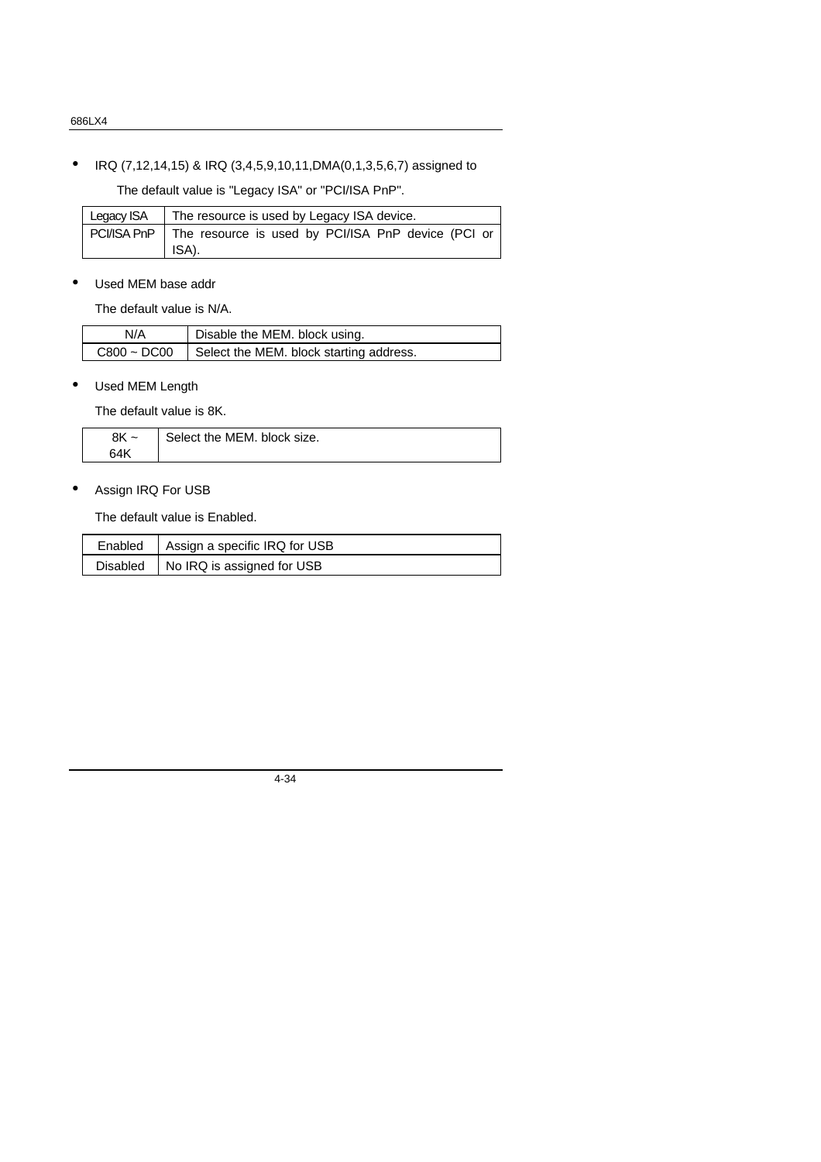• IRQ (7,12,14,15) & IRQ (3,4,5,9,10,11,DMA(0,1,3,5,6,7) assigned to

The default value is "Legacy ISA" or "PCI/ISA PnP".

| Legacy ISA | The resource is used by Legacy ISA device.                                |
|------------|---------------------------------------------------------------------------|
|            | PCI/ISA PnP   The resource is used by PCI/ISA PnP device (PCI or<br>ISA). |

• Used MEM base addr

The default value is N/A.

| N/A              | Disable the MEM. block using.           |
|------------------|-----------------------------------------|
| $C800 \sim DCO0$ | Select the MEM. block starting address. |

• Used MEM Length

The default value is 8K.

| 8K ~ | Select the MEM, block size. |
|------|-----------------------------|
| 64K  |                             |

• Assign IRQ For USB

The default value is Enabled.

| Enabled   | Assign a specific IRQ for USB |
|-----------|-------------------------------|
| Disable d | No IRQ is assigned for USB    |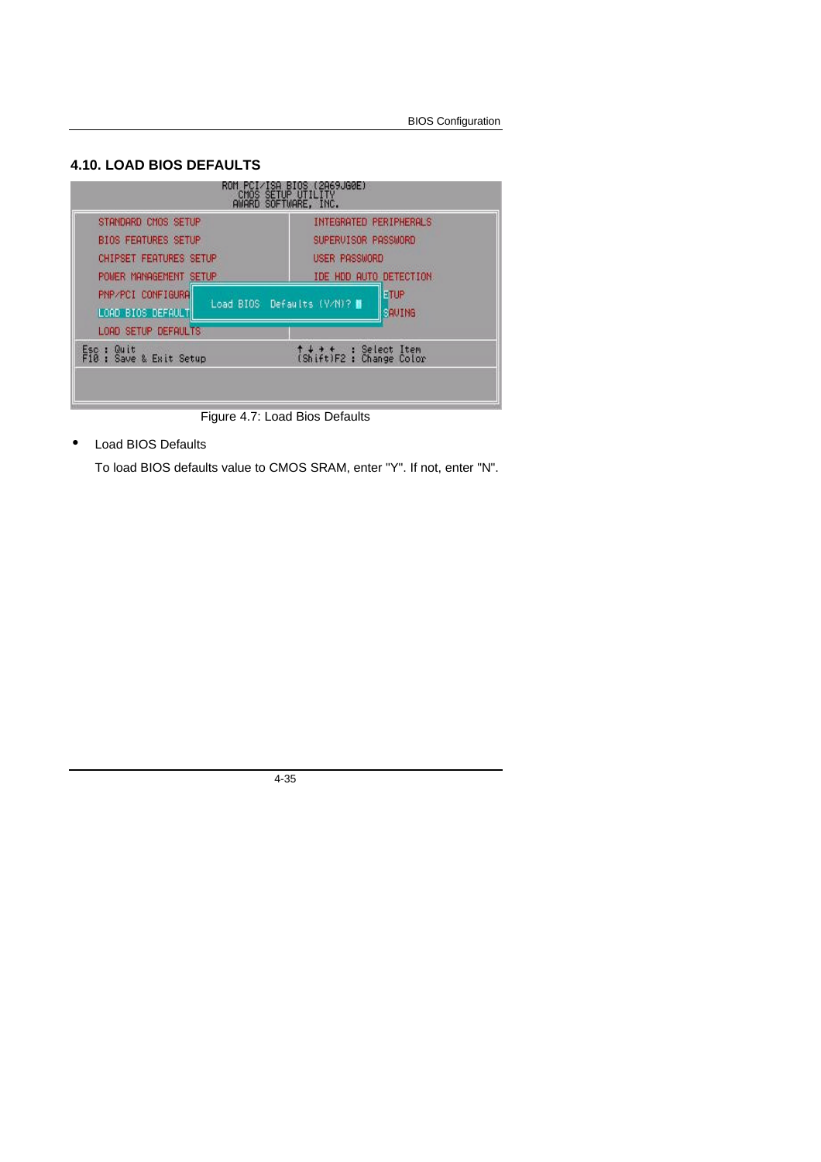# **4.10. LOAD BIOS DEFAULTS**



Figure 4.7: Load Bios Defaults

• Load BIOS Defaults

To load BIOS defaults value to CMOS SRAM, enter "Y". If not, enter "N".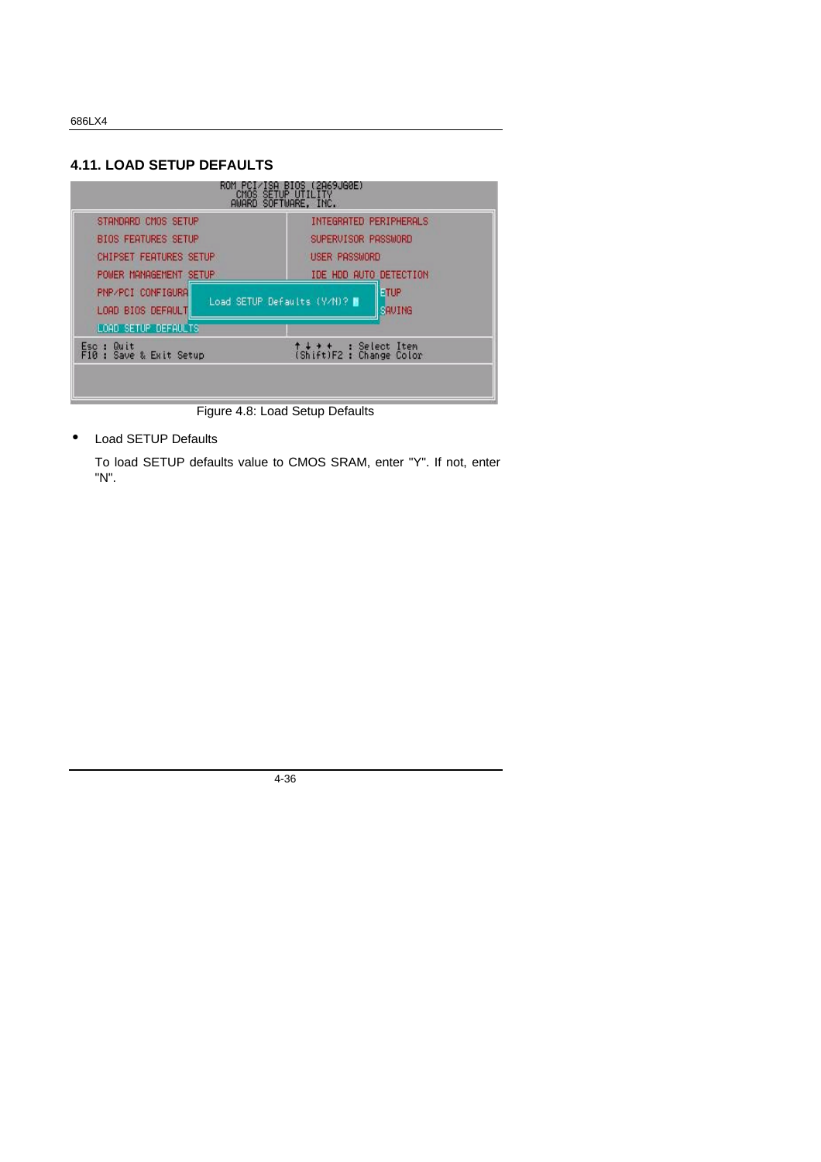# **4.11. LOAD SETUP DEFAULTS**



Figure 4.8: Load Setup Defaults

• Load SETUP Defaults

To load SETUP defaults value to CMOS SRAM, enter "Y". If not, enter "N".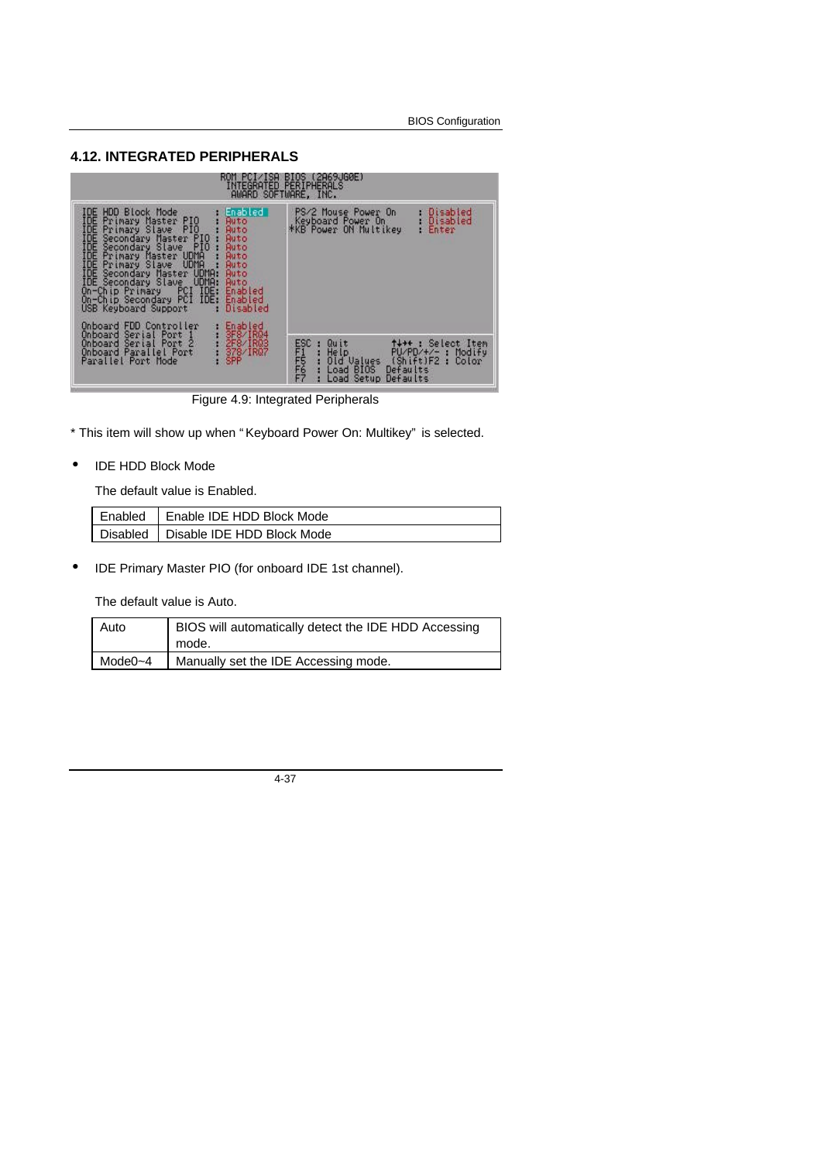# **4.12. INTEGRATED PERIPHERALS**

|                                                                                                                                                                                                                                                                                                                                                                                                                                                                           | ROM PCI/ISA BIOS (2A69JG0E)<br>INTEGRATED PERIPHERALS<br>AWARD SOFTWARE, INC.                                                                                                                                |
|---------------------------------------------------------------------------------------------------------------------------------------------------------------------------------------------------------------------------------------------------------------------------------------------------------------------------------------------------------------------------------------------------------------------------------------------------------------------------|--------------------------------------------------------------------------------------------------------------------------------------------------------------------------------------------------------------|
| IDE HDD Block Mode<br>IDE<br>Primary Master PIO<br><b>Ruto</b><br>IDE<br>Primary Slave PIO<br><b>Auto</b><br>IDE<br>Secondary Master PIO :<br>Auto<br>IDE Secondary Slave PIO :<br><b>Auto</b><br>IDE Primary Master UDMA :<br><b>Ruto</b><br>IDE Primary Slave UDMA :<br><b>Auto</b><br>IDE Secondary Master UDMA:<br><b>Auto</b><br>IDE Secondary Slave UDMA:<br><b>Ruto</b><br>On-Chip Primary PCI IDE:<br>On-Chip Secondary PCI IDE:<br>USB Keyboard Support Disabled | . Disabled<br>Enabled I<br>PS/2 Mouse Power On<br>Keyboard Power On<br>. Disabled<br>*KB Power ON Multikey<br>Enter<br>ю<br>Enabled<br>Enabled                                                               |
| Onboard FDD Controller<br>3F8/1R04<br>Onboard Serial Port 1<br>Onboard Serial Port 2<br>Onboard Parallel Port<br>SPP<br>Parallel Port Mode                                                                                                                                                                                                                                                                                                                                | Enabled<br>ESC<br>FFFFFFF<br>FF<br>t+++: Select Item<br>Quit<br>Help PU/PD/+/- : Modify<br>Old Values (Shift)F2 : Color<br>378/IRQ7<br>PU/PD/+/- : Modify<br>Load BIOS<br>Defaults<br>Load Setup<br>Defaults |

Figure 4.9: Integrated Peripherals

- \* This item will show up when " Keyboard Power On: Multikey" is selected.
- IDE HDD Block Mode

The default value is Enabled.

| Enabled | <b>LEnable IDE HDD Block Mode</b>     |
|---------|---------------------------------------|
|         | Disabled   Disable IDE HDD Block Mode |

• IDE Primary Master PIO (for onboard IDE 1st channel).

The default value is Auto.

| Auto    | BIOS will automatically detect the IDE HDD Accessing |
|---------|------------------------------------------------------|
|         | mode.                                                |
| Mode0~4 | Manually set the IDE Accessing mode.                 |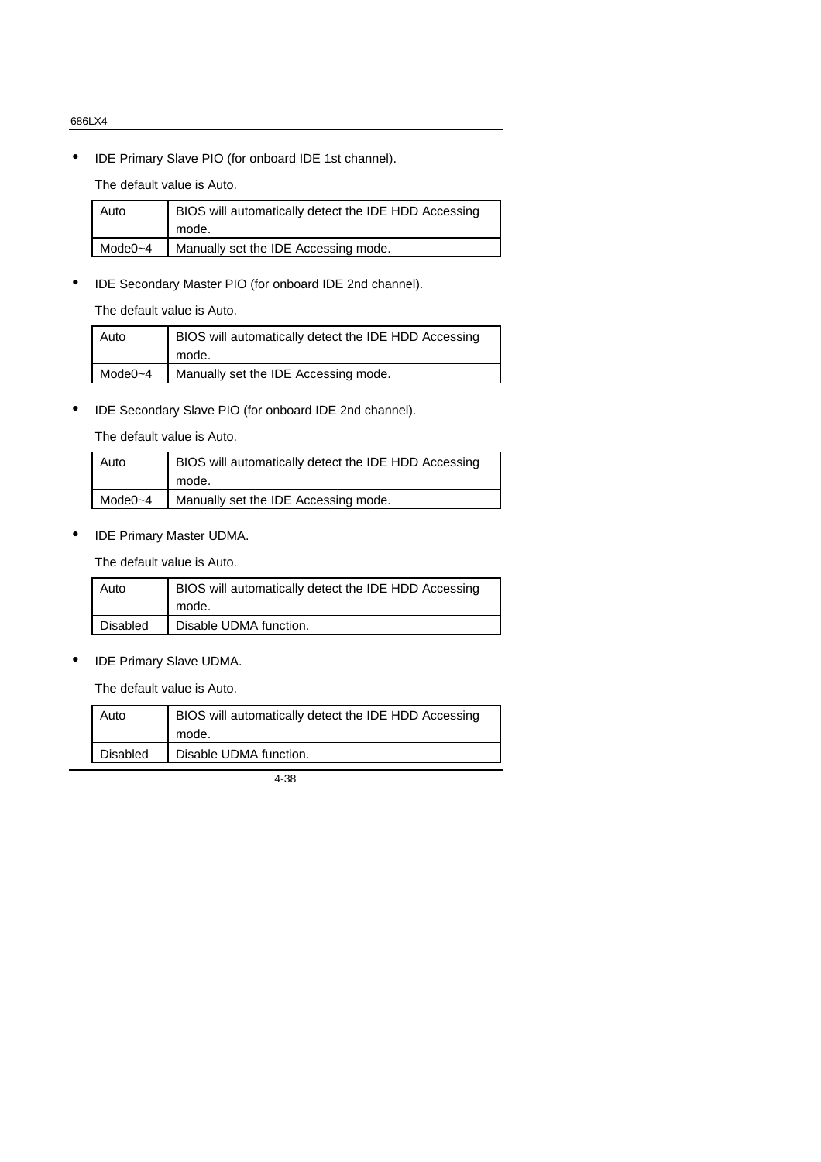• IDE Primary Slave PIO (for onboard IDE 1st channel).

The default value is Auto.

| Auto        | BIOS will automatically detect the IDE HDD Accessing |
|-------------|------------------------------------------------------|
|             | mode.                                                |
| Mode $0$ ~4 | Manually set the IDE Accessing mode.                 |
|             |                                                      |

• IDE Secondary Master PIO (for onboard IDE 2nd channel).

The default value is Auto.

| Auto         | BIOS will automatically detect the IDE HDD Accessing<br>mode. |
|--------------|---------------------------------------------------------------|
| Mode $0 - 4$ | Manually set the IDE Accessing mode.                          |

• IDE Secondary Slave PIO (for onboard IDE 2nd channel).

The default value is Auto.

| Auto    | BIOS will automatically detect the IDE HDD Accessing |
|---------|------------------------------------------------------|
|         | mode.                                                |
| Mode0~4 | Manually set the IDE Accessing mode.                 |

• IDE Primary Master UDMA.

The default value is Auto.

| Auto     | BIOS will automatically detect the IDE HDD Accessing |
|----------|------------------------------------------------------|
|          | mode.                                                |
| Disabled | Disable UDMA function.                               |

• IDE Primary Slave UDMA.

The default value is Auto.

| Auto     | BIOS will automatically detect the IDE HDD Accessing |
|----------|------------------------------------------------------|
|          | mode.                                                |
| Disabled | Disable UDMA function.                               |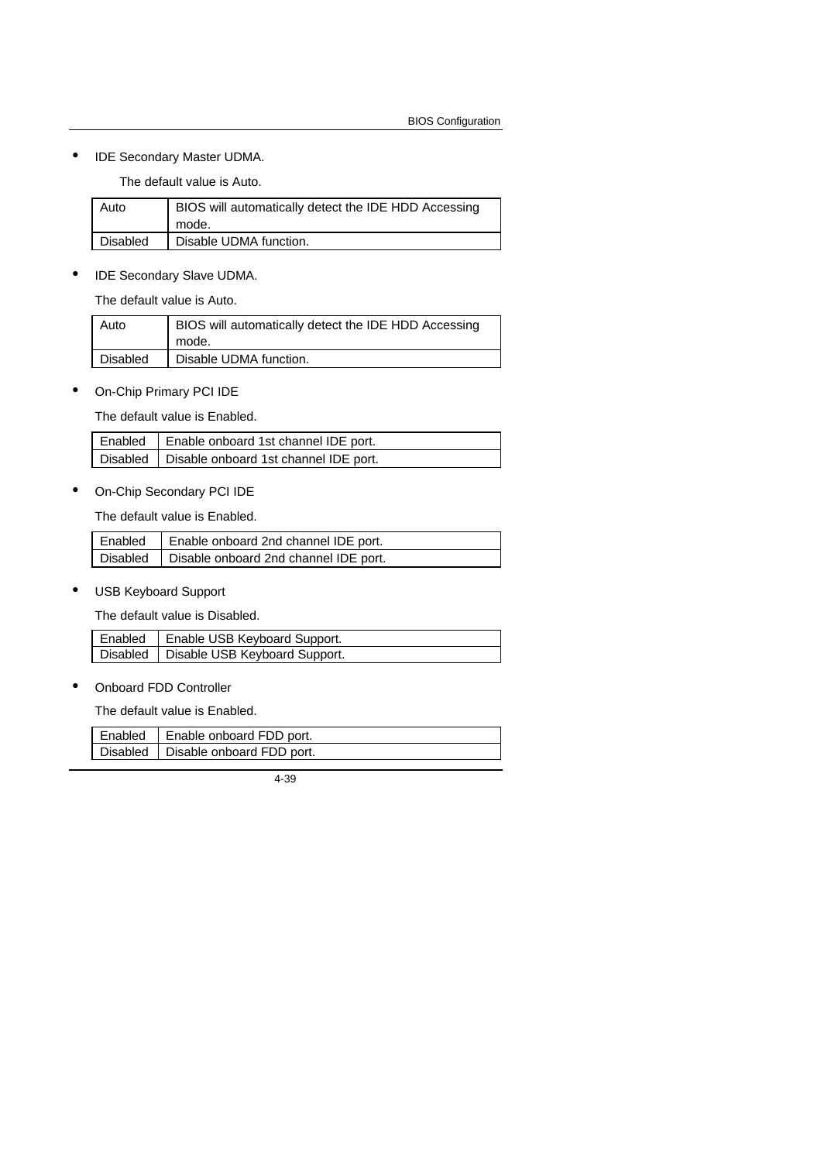• IDE Secondary Master UDMA.

The default value is Auto.

| Auto     | BIOS will automatically detect the IDE HDD Accessing<br>mode. |
|----------|---------------------------------------------------------------|
| Disabled | Disable UDMA function.                                        |

• IDE Secondary Slave UDMA.

The default value is Auto.

| Auto            | BIOS will automatically detect the IDE HDD Accessing<br>mode. |
|-----------------|---------------------------------------------------------------|
| <b>Disabled</b> | Disable UDMA function.                                        |

• On-Chip Primary PCI IDE

The default value is Enabled.

| Enabled   Enable onboard 1st channel IDE port.   |
|--------------------------------------------------|
| Disabled   Disable onboard 1st channel IDE port. |

• On-Chip Secondary PCI IDE

The default value is Enabled.

| Enabled   Enable onboard 2nd channel IDE port.   |
|--------------------------------------------------|
| Disabled   Disable onboard 2nd channel IDE port. |

• USB Keyboard Support

The default value is Disabled.

| Enabled   Enable USB Keyboard Support.   |
|------------------------------------------|
| Disabled   Disable USB Keyboard Support. |

• Onboard FDD Controller

The default value is Enabled.

| Enabled | Enable onboard FDD port.             |
|---------|--------------------------------------|
|         | Disabled   Disable onboard FDD port. |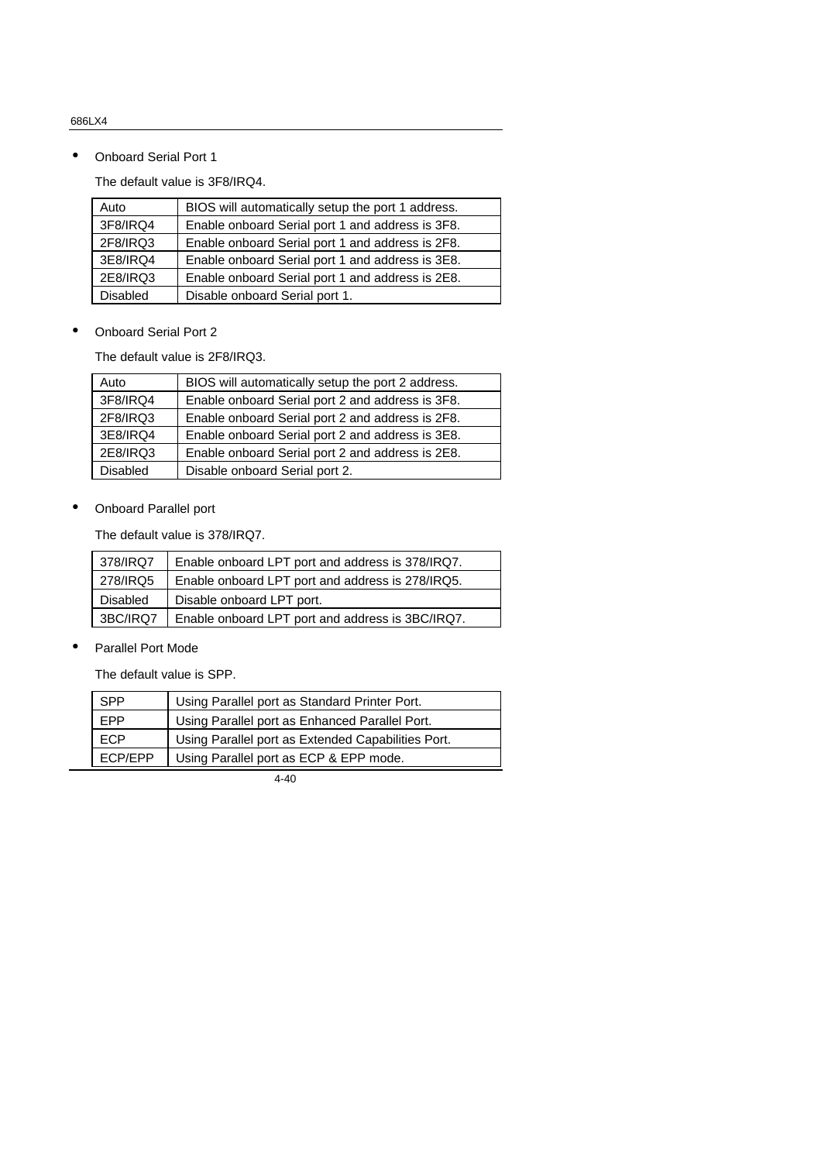• Onboard Serial Port 1

The default value is 3F8/IRQ4.

| Auto            | BIOS will automatically setup the port 1 address. |  |
|-----------------|---------------------------------------------------|--|
| 3F8/IRQ4        | Enable onboard Serial port 1 and address is 3F8.  |  |
| 2F8/IRQ3        | Enable onboard Serial port 1 and address is 2F8.  |  |
| 3E8/IRQ4        | Enable onboard Serial port 1 and address is 3E8.  |  |
| 2E8/IRQ3        | Enable onboard Serial port 1 and address is 2E8.  |  |
| <b>Disabled</b> | Disable onboard Serial port 1.                    |  |

• Onboard Serial Port 2

The default value is 2F8/IRQ3.

| Auto            | BIOS will automatically setup the port 2 address. |  |
|-----------------|---------------------------------------------------|--|
| 3F8/IRQ4        | Enable onboard Serial port 2 and address is 3F8.  |  |
| 2F8/IRQ3        | Enable onboard Serial port 2 and address is 2F8.  |  |
| 3E8/IRQ4        | Enable onboard Serial port 2 and address is 3E8.  |  |
| 2E8/IRQ3        | Enable onboard Serial port 2 and address is 2E8.  |  |
| <b>Disabled</b> | Disable onboard Serial port 2.                    |  |

• Onboard Parallel port

The default value is 378/IRQ7.

| 378/IRQ7 | Enable onboard LPT port and address is 378/IRQ7. |  |
|----------|--------------------------------------------------|--|
| 278/IRQ5 | Enable onboard LPT port and address is 278/IRQ5. |  |
| Disabled | Disable onboard LPT port.                        |  |
| 3BC/IRQ7 | Enable onboard LPT port and address is 3BC/IRQ7. |  |

• Parallel Port Mode

The default value is SPP.

| <b>SPP</b>     | Using Parallel port as Standard Printer Port.      |  |
|----------------|----------------------------------------------------|--|
| <b>FPP</b>     | Using Parallel port as Enhanced Parallel Port.     |  |
| <b>ECP</b>     | Using Parallel port as Extended Capabilities Port. |  |
| <b>ECP/EPP</b> | Using Parallel port as ECP & EPP mode.             |  |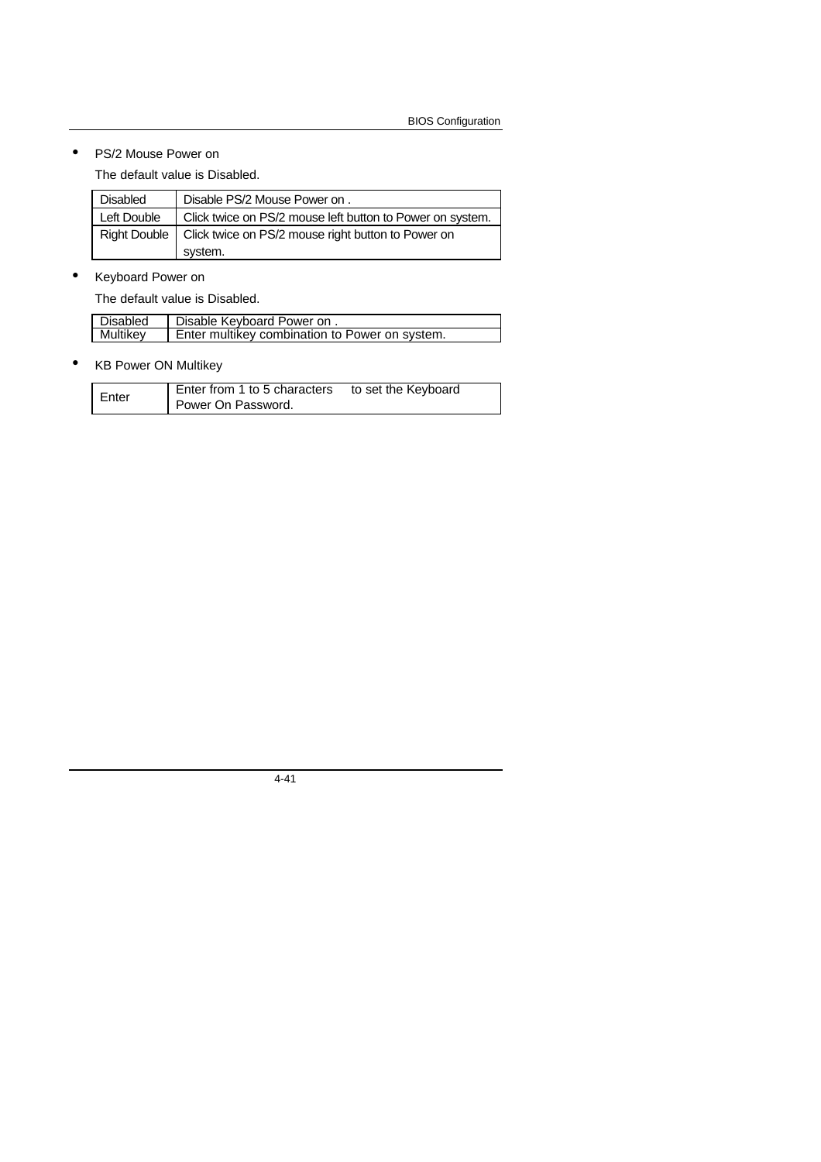• PS/2 Mouse Power on

The default value is Disabled.

| <b>Disabled</b> | Disable PS/2 Mouse Power on.                                      |  |
|-----------------|-------------------------------------------------------------------|--|
| Left Double     | Click twice on PS/2 mouse left button to Power on system.         |  |
|                 | Right Double   Click twice on PS/2 mouse right button to Power on |  |
|                 | system.                                                           |  |

# • Keyboard Power on

The default value is Disabled.

| Disabled | Disable Keyboard Power on.                     |
|----------|------------------------------------------------|
| Multikev | Enter multikey combination to Power on system. |

• KB Power ON Multikey

| Enter | Enter from 1 to 5 characters | to set the Keyboard |
|-------|------------------------------|---------------------|
|       | Power On Password.           |                     |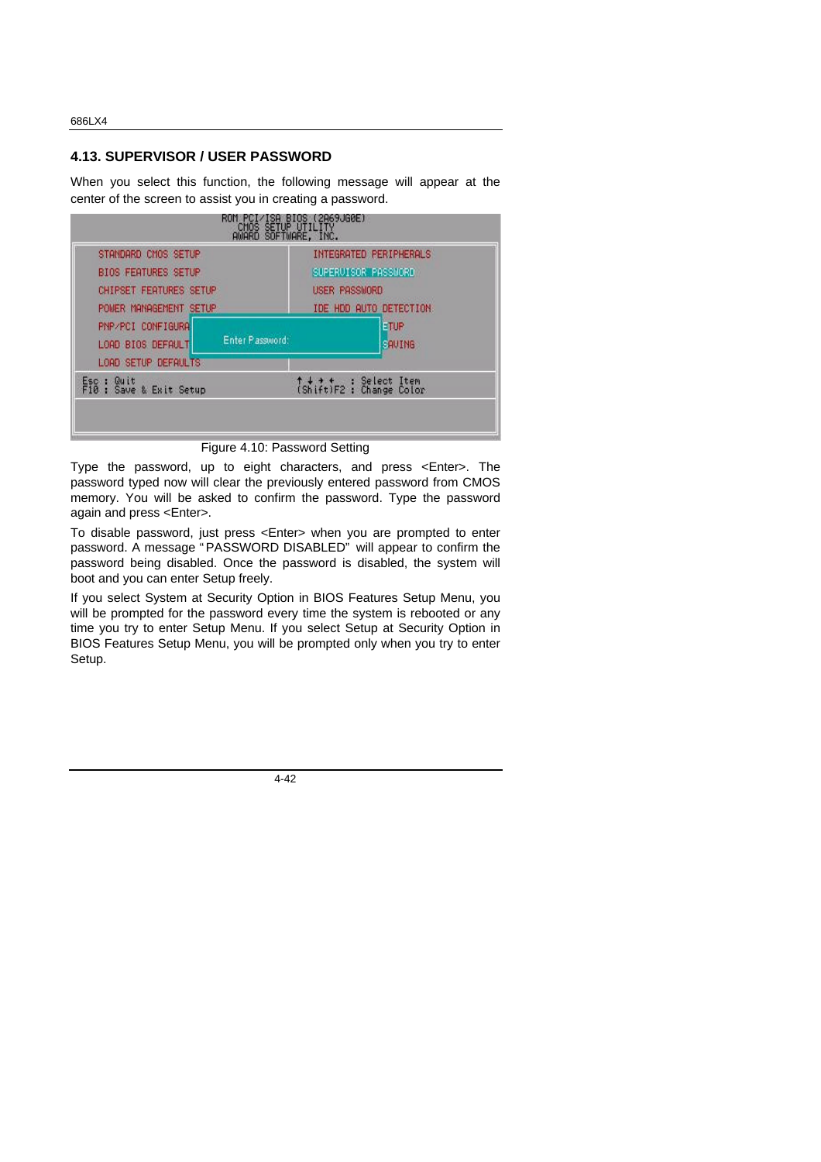#### **4.13. SUPERVISOR / USER PASSWORD**

When you select this function, the following message will appear at the center of the screen to assist you in creating a password.



Figure 4.10: Password Setting

Type the password, up to eight characters, and press <Enter>. The password typed now will clear the previously entered password from CMOS memory. You will be asked to confirm the password. Type the password again and press <Enter>.

To disable password, just press <Enter> when you are prompted to enter password. A message " PASSWORD DISABLED" will appear to confirm the password being disabled. Once the password is disabled, the system will boot and you can enter Setup freely.

If you select System at Security Option in BIOS Features Setup Menu, you will be prompted for the password every time the system is rebooted or any time you try to enter Setup Menu. If you select Setup at Security Option in BIOS Features Setup Menu, you will be prompted only when you try to enter Setup.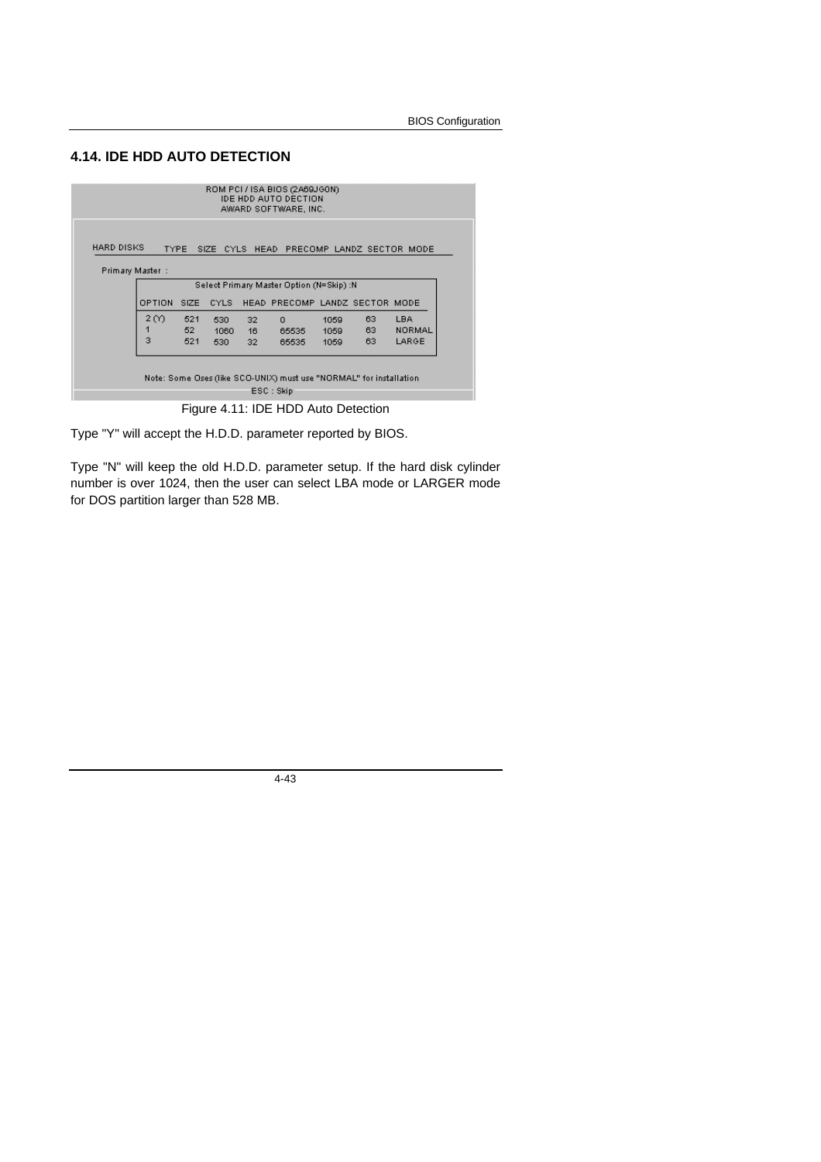# **4.14. IDE HDD AUTO DETECTION**

|                                                                       |        |             |       |    | ROM PCI / ISA BIOS (2A69JGON)<br><b>IDE HDD AUTO DECTION</b><br>AWARD SOFTWARE, INC. |      |    |        |
|-----------------------------------------------------------------------|--------|-------------|-------|----|--------------------------------------------------------------------------------------|------|----|--------|
| HARD DISKS<br><b>TYPE</b><br>SIZE CYLS HEAD PRECOMP LANDZ SECTOR MODE |        |             |       |    |                                                                                      |      |    |        |
| Primary Master :                                                      |        |             |       |    |                                                                                      |      |    |        |
| Select Primary Master Option (N=Skip) :N                              |        |             |       |    |                                                                                      |      |    |        |
|                                                                       | OPTION | <b>SIZE</b> | CYLS. |    | HEAD PRECOMP LANDZ SECTOR MODE                                                       |      |    |        |
|                                                                       | 2 M    | 521         | 530   | 32 | $\Omega$                                                                             | 1059 | 63 | LBA    |
|                                                                       |        | 52          | 1060  | 16 | 65535                                                                                | 1059 | 63 | NORMAL |
|                                                                       | 3      | 521         | 530   | 32 | 65535                                                                                | 1059 | 63 | LARGE  |
|                                                                       |        |             |       |    | Note: Some Oses (like SCO-UNIX) must use "NORMAL" for installation<br>ESC : Skip     |      |    |        |

Figure 4.11: IDE HDD Auto Detection

Type "Y" will accept the H.D.D. parameter reported by BIOS.

Type "N" will keep the old H.D.D. parameter setup. If the hard disk cylinder number is over 1024, then the user can select LBA mode or LARGER mode for DOS partition larger than 528 MB.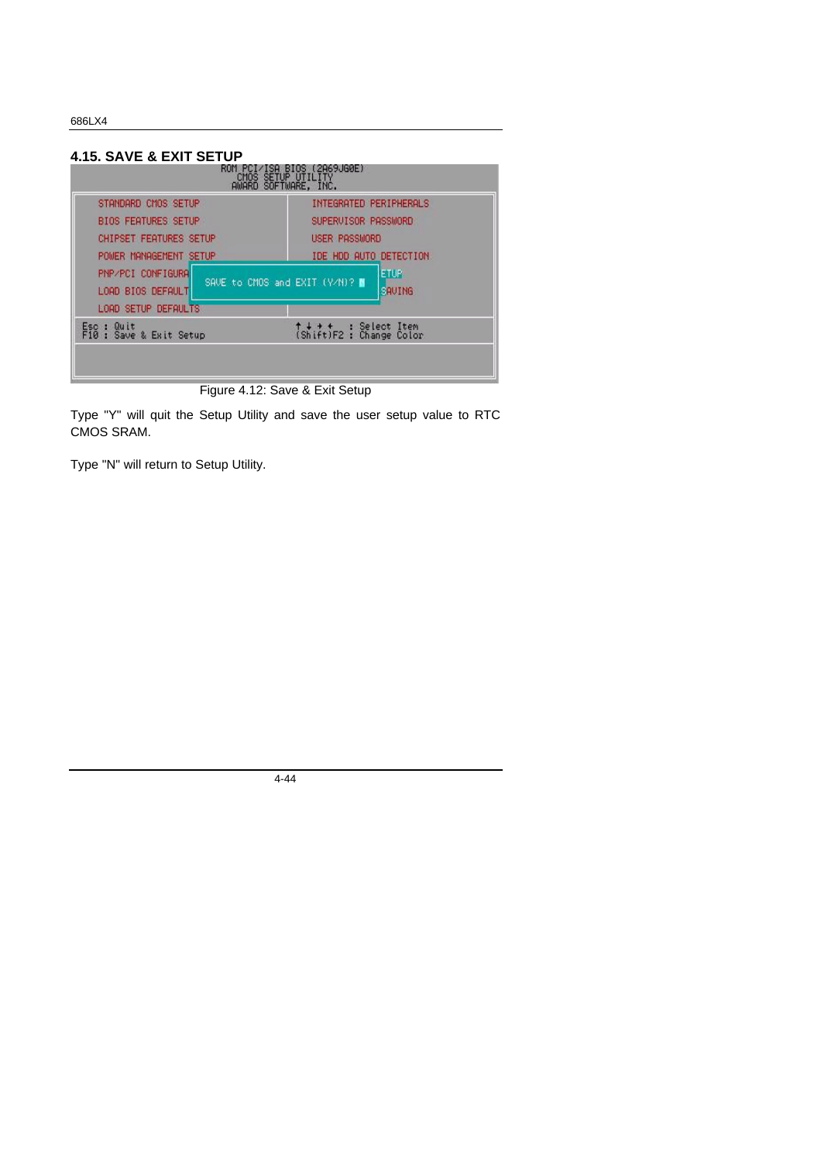| 4.15. SAVE & EXIT SETUP                                                                         |                                                                                   |  |  |
|-------------------------------------------------------------------------------------------------|-----------------------------------------------------------------------------------|--|--|
| RUM PCI/<br><b>AWARD</b>                                                                        | ISA BIOS (2A69JG0E)<br>CMOS SETUP UTILITY<br>SOFTWARE, INC.                       |  |  |
| STANDARD CMOS SETUP<br><b>BIOS FEATURES SETUP</b><br><b>CHIPSET FEATURES SETUP</b>              | INTEGRATED PERIPHERALS<br>SUPERVISOR PASSWORD<br>USER PASSMORD                    |  |  |
| POWER MANAGEMENT SETUP<br><b>PNP/PCI CONFIGURAL</b><br>LOAD BIOS DEFAULT<br>LOAD SETUP DEFAULTS | TDE HDD AUTO DETECTION<br><b>ETUP</b><br>SAVE to CMOS and EXIT (V/N)? ■<br>SAUING |  |  |
| Quit<br>Esc :<br>F10: Save & Exit Setup                                                         | ↑↓ → +   : Select Item<br>(Shift)F2 : Change Color                                |  |  |

Figure 4.12: Save & Exit Setup

Type "Y" will quit the Setup Utility and save the user setup value to RTC CMOS SRAM.

Type "N" will return to Setup Utility.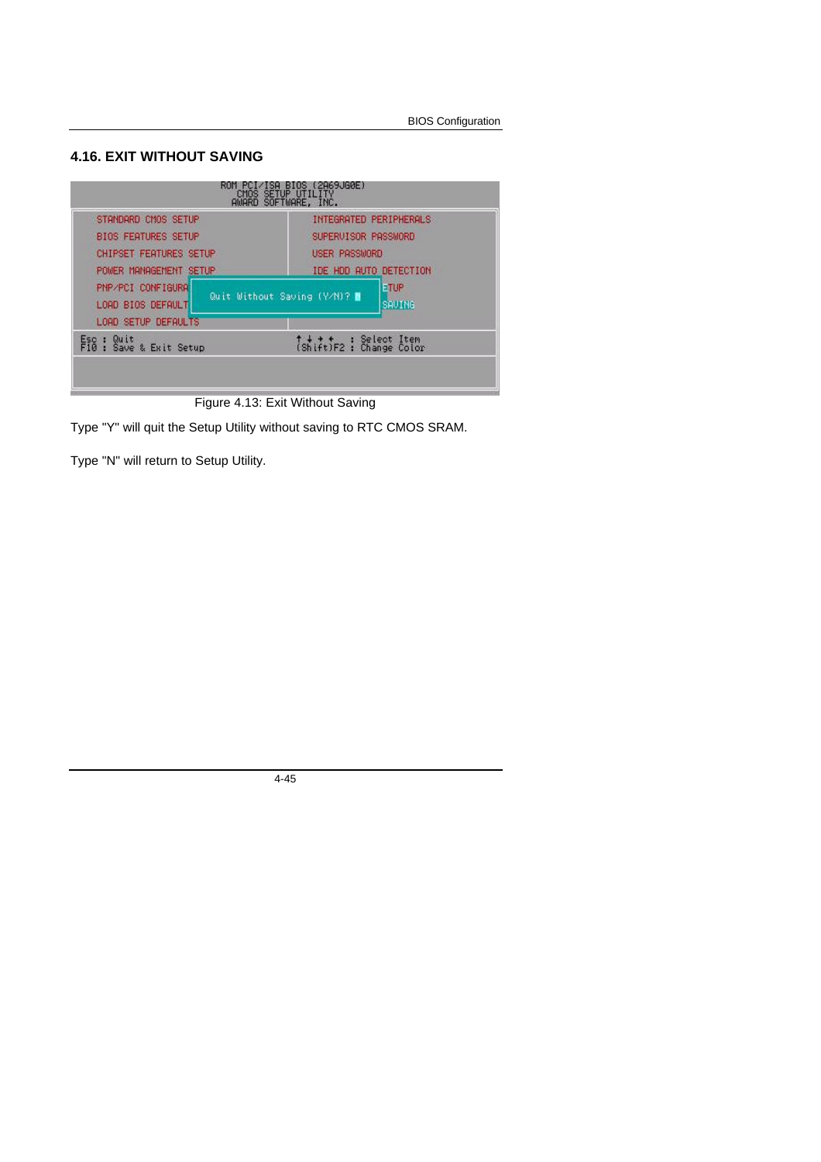### **4.16. EXIT WITHOUT SAVING**



Figure 4.13: Exit Without Saving

Type "Y" will quit the Setup Utility without saving to RTC CMOS SRAM.

Type "N" will return to Setup Utility.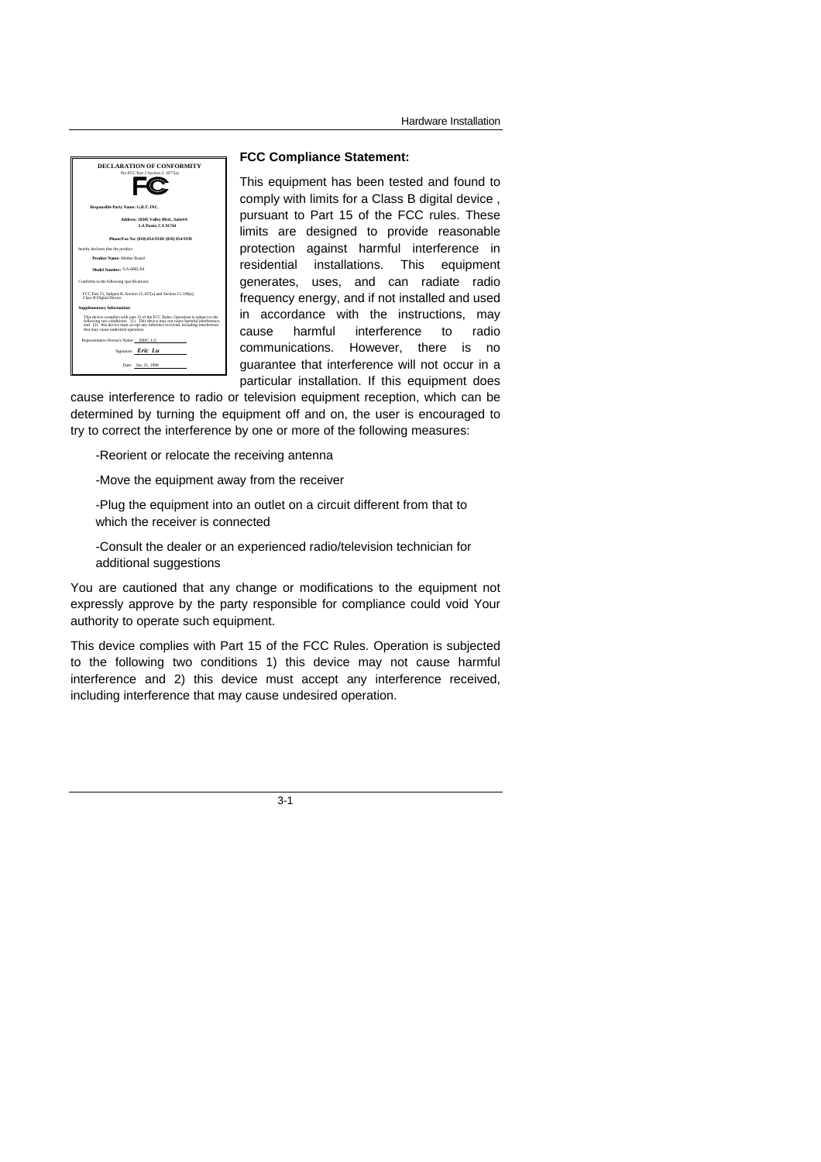

#### **FCC Compliance Statement:**

This equipment has been tested and found to comply with limits for a Class B digital device , pursuant to Part 15 of the FCC rules. These limits are designed to provide reasonable protection against harmful interference in residential installations. This equipment generates, uses, and can radiate radio frequency energy, and if not installed and used in accordance with the instructions, may cause harmful interference to radio communications. However, there is no guarantee that interference will not occur in a particular installation. If this equipment does

cause interference to radio or television equipment reception, which can be determined by turning the equipment off and on, the user is encouraged to try to correct the interference by one or more of the following measures:

-Reorient or relocate the receiving antenna

-Move the equipment away from the receiver

-Plug the equipment into an outlet on a circuit different from that to which the receiver is connected

-Consult the dealer or an experienced radio/television technician for additional suggestions

You are cautioned that any change or modifications to the equipment not expressly approve by the party responsible for compliance could void Your authority to operate such equipment.

This device complies with Part 15 of the FCC Rules. Operation is subjected to the following two conditions 1) this device may not cause harmful interference and 2) this device must accept any interference received, including interference that may cause undesired operation.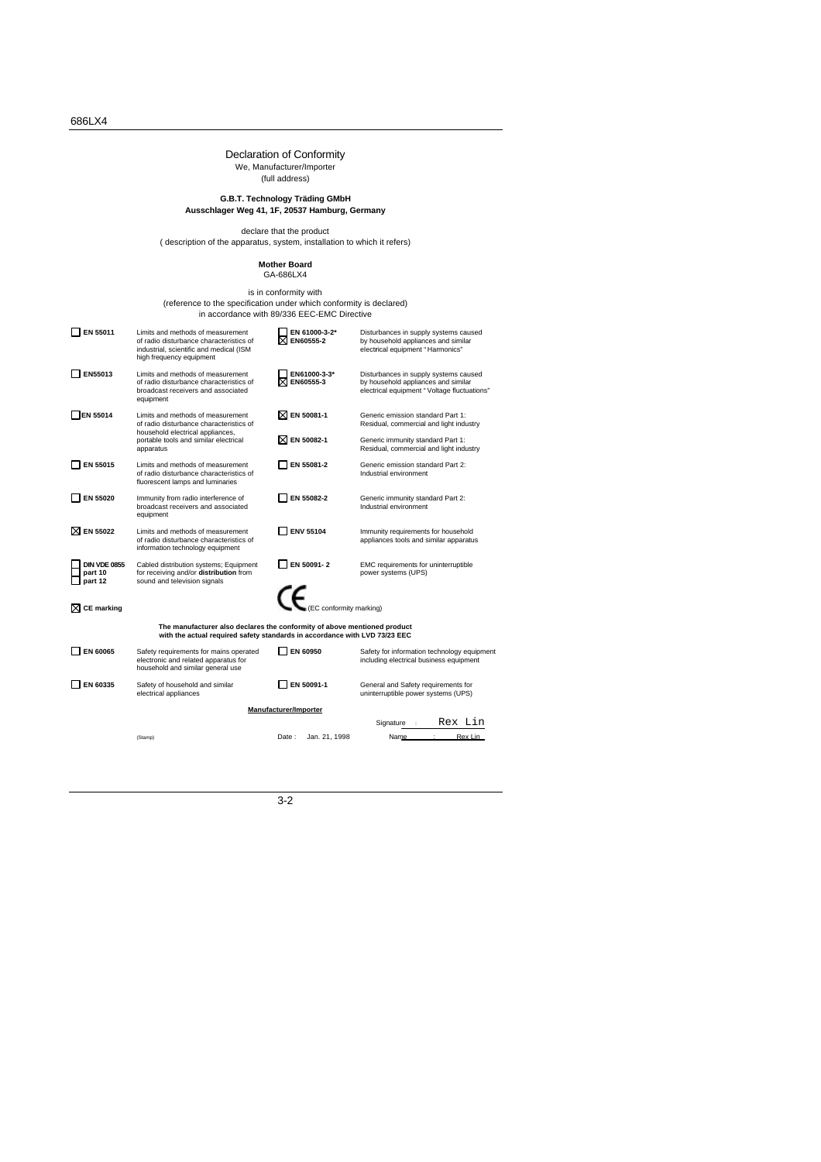# Declaration of Conformity We, Manufacturer/Importer (full address)

# **G.B.T. Technology Träding GMbH Ausschlager Weg 41, 1F, 20537 Hamburg, Germany**

declare that the product ( description of the apparatus, system, installation to which it refers)

# **Mother Board** GA-686LX4

# is in conformity with<br>(reference to the specification under which conformity is declared)<br>in accordance with 89/336 EEC-EMC Directive

| EN 55011                                                                                                                                               | Limits and methods of measurement<br>of radio disturbance characteristics of<br>industrial, scientific and medical (ISM<br>high frequency equipment | EN 61000-3-2*<br>EN60555-2   | Disturbances in supply systems caused<br>by household appliances and similar<br>electrical equipment "Harmonics"            |  |  |  |  |  |  |
|--------------------------------------------------------------------------------------------------------------------------------------------------------|-----------------------------------------------------------------------------------------------------------------------------------------------------|------------------------------|-----------------------------------------------------------------------------------------------------------------------------|--|--|--|--|--|--|
| EN55013                                                                                                                                                | Limits and methods of measurement<br>of radio disturbance characteristics of<br>broadcast receivers and associated<br>equipment                     | EN61000-3-3*<br>EN60555-3    | Disturbances in supply systems caused<br>by household appliances and similar<br>electrical equipment "Voltage fluctuations" |  |  |  |  |  |  |
| EN 55014                                                                                                                                               | Limits and methods of measurement<br>of radio disturbance characteristics of<br>household electrical appliances,                                    | $\boxtimes$ EN 50081-1       | Generic emission standard Part 1:<br>Residual, commercial and light industry                                                |  |  |  |  |  |  |
|                                                                                                                                                        | portable tools and similar electrical<br>apparatus                                                                                                  | ⊠ EN 50082-1                 | Generic immunity standard Part 1:<br>Residual, commercial and light industry                                                |  |  |  |  |  |  |
| EN 55015                                                                                                                                               | Limits and methods of measurement<br>of radio disturbance characteristics of<br>fluorescent lamps and luminaries                                    | EN 55081-2                   | Generic emission standard Part 2:<br>Industrial environment                                                                 |  |  |  |  |  |  |
| EN 55020                                                                                                                                               | Immunity from radio interference of<br>broadcast receivers and associated<br>equipment                                                              | EN 55082-2                   | Generic immunity standard Part 2:<br>Industrial environment                                                                 |  |  |  |  |  |  |
| ⊠ EN 55022                                                                                                                                             | Limits and methods of measurement<br>of radio disturbance characteristics of<br>information technology equipment                                    | <b>ENV 55104</b>             | Immunity requirements for household<br>appliances tools and similar apparatus                                               |  |  |  |  |  |  |
| <b>DIN VDE 0855</b><br>part 10<br>part 12                                                                                                              | Cabled distribution systems; Equipment<br>for receiving and/or distribution from<br>sound and television signals                                    | EN 50091-2                   | EMC requirements for uninterruptible<br>power systems (UPS)                                                                 |  |  |  |  |  |  |
| <b>CE</b> marking                                                                                                                                      |                                                                                                                                                     | CE.<br>C conformity marking) |                                                                                                                             |  |  |  |  |  |  |
| The manufacturer also declares the conformity of above mentioned product<br>with the actual required safety standards in accordance with LVD 73/23 EEC |                                                                                                                                                     |                              |                                                                                                                             |  |  |  |  |  |  |
| EN 60065                                                                                                                                               | Safety requirements for mains operated<br>electronic and related apparatus for<br>household and similar general use                                 | EN 60950                     | Safety for information technology equipment<br>including electrical business equipment                                      |  |  |  |  |  |  |
| EN 60335                                                                                                                                               | Safety of household and similar<br>electrical appliances                                                                                            | EN 50091-1                   | General and Safety requirements for<br>uninterruptible power systems (UPS)                                                  |  |  |  |  |  |  |
| Manufacturer/Importer                                                                                                                                  |                                                                                                                                                     |                              |                                                                                                                             |  |  |  |  |  |  |
|                                                                                                                                                        |                                                                                                                                                     |                              | Rex Lin<br>Signature                                                                                                        |  |  |  |  |  |  |
|                                                                                                                                                        | (Stamp)                                                                                                                                             | Date:<br>Jan. 21, 1998       | Rex Lin<br>Name                                                                                                             |  |  |  |  |  |  |